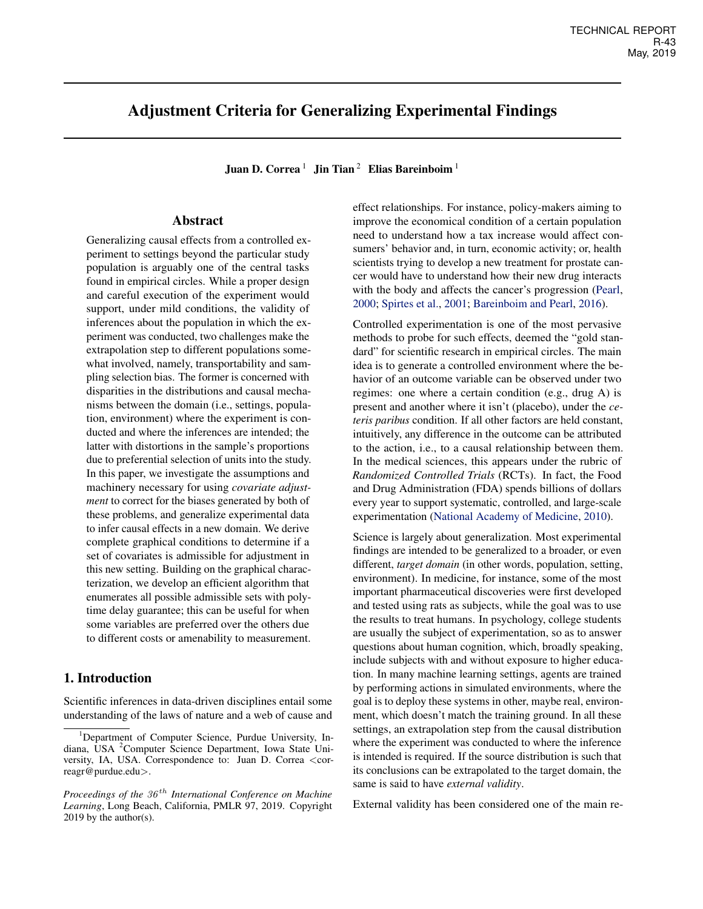# Adjustment Criteria for Generalizing Experimental Findings

Juan D. Correa<sup>1</sup> Jin Tian<sup>2</sup> Elias Bareinboim<sup>1</sup>

# Abstract

Generalizing causal effects from a controlled experiment to settings beyond the particular study population is arguably one of the central tasks found in empirical circles. While a proper design and careful execution of the experiment would support, under mild conditions, the validity of inferences about the population in which the experiment was conducted, two challenges make the extrapolation step to different populations somewhat involved, namely, transportability and sampling selection bias. The former is concerned with disparities in the distributions and causal mechanisms between the domain (i.e., settings, population, environment) where the experiment is conducted and where the inferences are intended; the latter with distortions in the sample's proportions due to preferential selection of units into the study. In this paper, we investigate the assumptions and machinery necessary for using *covariate adjustment* to correct for the biases generated by both of these problems, and generalize experimental data to infer causal effects in a new domain. We derive complete graphical conditions to determine if a set of covariates is admissible for adjustment in this new setting. Building on the graphical characterization, we develop an efficient algorithm that enumerates all possible admissible sets with polytime delay guarantee; this can be useful for when some variables are preferred over the others due to different costs or amenability to measurement.

# 1. Introduction

Scientific inferences in data-driven disciplines entail some understanding of the laws of nature and a web of cause and effect relationships. For instance, policy-makers aiming to improve the economical condition of a certain population need to understand how a tax increase would affect consumers' behavior and, in turn, economic activity; or, health scientists trying to develop a new treatment for prostate cancer would have to understand how their new drug interacts with the body and affects the cancer's progression [\(Pearl,](#page-8-0) [2000;](#page-8-0) [Spirtes et al.,](#page-8-0) [2001;](#page-8-0) [Bareinboim and Pearl,](#page-8-0) [2016\)](#page-8-0).

Controlled experimentation is one of the most pervasive methods to probe for such effects, deemed the "gold standard" for scientific research in empirical circles. The main idea is to generate a controlled environment where the behavior of an outcome variable can be observed under two regimes: one where a certain condition (e.g., drug A) is present and another where it isn't (placebo), under the *ceteris paribus* condition. If all other factors are held constant, intuitively, any difference in the outcome can be attributed to the action, i.e., to a causal relationship between them. In the medical sciences, this appears under the rubric of *Randomized Controlled Trials* (RCTs). In fact, the Food and Drug Administration (FDA) spends billions of dollars every year to support systematic, controlled, and large-scale experimentation [\(National Academy of Medicine,](#page-8-0) [2010\)](#page-8-0).

Science is largely about generalization. Most experimental findings are intended to be generalized to a broader, or even different, *target domain* (in other words, population, setting, environment). In medicine, for instance, some of the most important pharmaceutical discoveries were first developed and tested using rats as subjects, while the goal was to use the results to treat humans. In psychology, college students are usually the subject of experimentation, so as to answer questions about human cognition, which, broadly speaking, include subjects with and without exposure to higher education. In many machine learning settings, agents are trained by performing actions in simulated environments, where the goal is to deploy these systems in other, maybe real, environment, which doesn't match the training ground. In all these settings, an extrapolation step from the causal distribution where the experiment was conducted to where the inference is intended is required. If the source distribution is such that its conclusions can be extrapolated to the target domain, the same is said to have *external validity*.

External validity has been considered one of the main re-

<sup>&</sup>lt;sup>1</sup>Department of Computer Science, Purdue University, Indiana, USA <sup>2</sup>Computer Science Department, Iowa State University, IA, USA. Correspondence to: Juan D. Correa <correagr@purdue.edu>.

*Proceedings of the 36<sup>th</sup> International Conference on Machine Learning*, Long Beach, California, PMLR 97, 2019. Copyright 2019 by the author(s).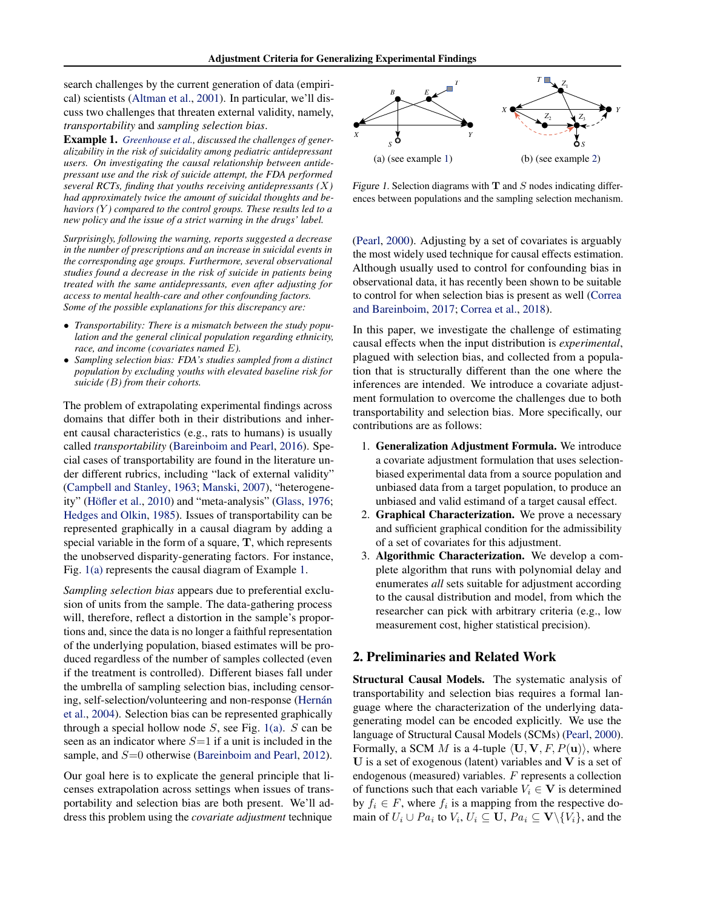<span id="page-1-0"></span>search challenges by the current generation of data (empirical) scientists [\(Altman et al.,](#page-8-0) [2001\)](#page-8-0). In particular, we'll discuss two challenges that threaten external validity, namely, *transportability* and *sampling selection bias*.

Example 1. *[Greenhouse et al.,](#page-8-0) discussed the challenges of generalizability in the risk of suicidality among pediatric antidepressant users. On investigating the causal relationship between antidepressant use and the risk of suicide attempt, the FDA performed several RCTs, finding that youths receiving antidepressants (*X*) had approximately twice the amount of suicidal thoughts and behaviors (*Y *) compared to the control groups. These results led to a new policy and the issue of a strict warning in the drugs' label.*

*Surprisingly, following the warning, reports suggested a decrease in the number of prescriptions and an increase in suicidal events in the corresponding age groups. Furthermore, several observational studies found a decrease in the risk of suicide in patients being treated with the same antidepressants, even after adjusting for access to mental health-care and other confounding factors. Some of the possible explanations for this discrepancy are:*

- *Transportability: There is a mismatch between the study population and the general clinical population regarding ethnicity, race, and income (covariates named* E*).*
- *Sampling selection bias: FDA's studies sampled from a distinct population by excluding youths with elevated baseline risk for suicide (*B*) from their cohorts.*

The problem of extrapolating experimental findings across domains that differ both in their distributions and inherent causal characteristics (e.g., rats to humans) is usually called *transportability* [\(Bareinboim and Pearl,](#page-8-0) [2016\)](#page-8-0). Special cases of transportability are found in the literature under different rubrics, including "lack of external validity" [\(Campbell and Stanley,](#page-8-0) [1963;](#page-8-0) [Manski,](#page-8-0) [2007\)](#page-8-0), "heterogene-ity" (Höfler et al., [2010\)](#page-8-0) and "meta-analysis" [\(Glass,](#page-8-0) [1976;](#page-8-0) [Hedges and Olkin,](#page-8-0) [1985\)](#page-8-0). Issues of transportability can be represented graphically in a causal diagram by adding a special variable in the form of a square, T, which represents the unobserved disparity-generating factors. For instance, Fig. 1(a) represents the causal diagram of Example 1.

*Sampling selection bias* appears due to preferential exclusion of units from the sample. The data-gathering process will, therefore, reflect a distortion in the sample's proportions and, since the data is no longer a faithful representation of the underlying population, biased estimates will be produced regardless of the number of samples collected (even if the treatment is controlled). Different biases fall under the umbrella of sampling selection bias, including censoring, self-selection/volunteering and non-response (Hernán [et al.,](#page-8-0) [2004\)](#page-8-0). Selection bias can be represented graphically through a special hollow node  $S$ , see Fig. 1(a).  $S$  can be seen as an indicator where  $S=1$  if a unit is included in the sample, and  $S=0$  otherwise [\(Bareinboim and Pearl,](#page-8-0) [2012\)](#page-8-0).

Our goal here is to explicate the general principle that licenses extrapolation across settings when issues of transportability and selection bias are both present. We'll address this problem using the *covariate adjustment* technique



Figure 1. Selection diagrams with  $T$  and  $S$  nodes indicating differences between populations and the sampling selection mechanism.

[\(Pearl,](#page-8-0) [2000\)](#page-8-0). Adjusting by a set of covariates is arguably the most widely used technique for causal effects estimation. Although usually used to control for confounding bias in observational data, it has recently been shown to be suitable to control for when selection bias is present as well [\(Correa](#page-8-0) [and Bareinboim,](#page-8-0) [2017;](#page-8-0) [Correa et al.,](#page-8-0) [2018\)](#page-8-0).

In this paper, we investigate the challenge of estimating causal effects when the input distribution is *experimental*, plagued with selection bias, and collected from a population that is structurally different than the one where the inferences are intended. We introduce a covariate adjustment formulation to overcome the challenges due to both transportability and selection bias. More specifically, our contributions are as follows:

- 1. Generalization Adjustment Formula. We introduce a covariate adjustment formulation that uses selectionbiased experimental data from a source population and unbiased data from a target population, to produce an unbiased and valid estimand of a target causal effect.
- 2. Graphical Characterization. We prove a necessary and sufficient graphical condition for the admissibility of a set of covariates for this adjustment.
- 3. Algorithmic Characterization. We develop a complete algorithm that runs with polynomial delay and enumerates *all* sets suitable for adjustment according to the causal distribution and model, from which the researcher can pick with arbitrary criteria (e.g., low measurement cost, higher statistical precision).

### 2. Preliminaries and Related Work

Structural Causal Models. The systematic analysis of transportability and selection bias requires a formal language where the characterization of the underlying datagenerating model can be encoded explicitly. We use the language of Structural Causal Models (SCMs) [\(Pearl,](#page-8-0) [2000\)](#page-8-0). Formally, a SCM M is a 4-tuple  $\langle \mathbf{U}, \mathbf{V}, F, P(\mathbf{u}) \rangle$ , where U is a set of exogenous (latent) variables and  $V$  is a set of endogenous (measured) variables. F represents a collection of functions such that each variable  $V_i \in V$  is determined by  $f_i \in F$ , where  $f_i$  is a mapping from the respective domain of  $U_i \cup Pa_i$  to  $V_i$ ,  $U_i \subseteq U$ ,  $Pa_i \subseteq V \setminus \{V_i\}$ , and the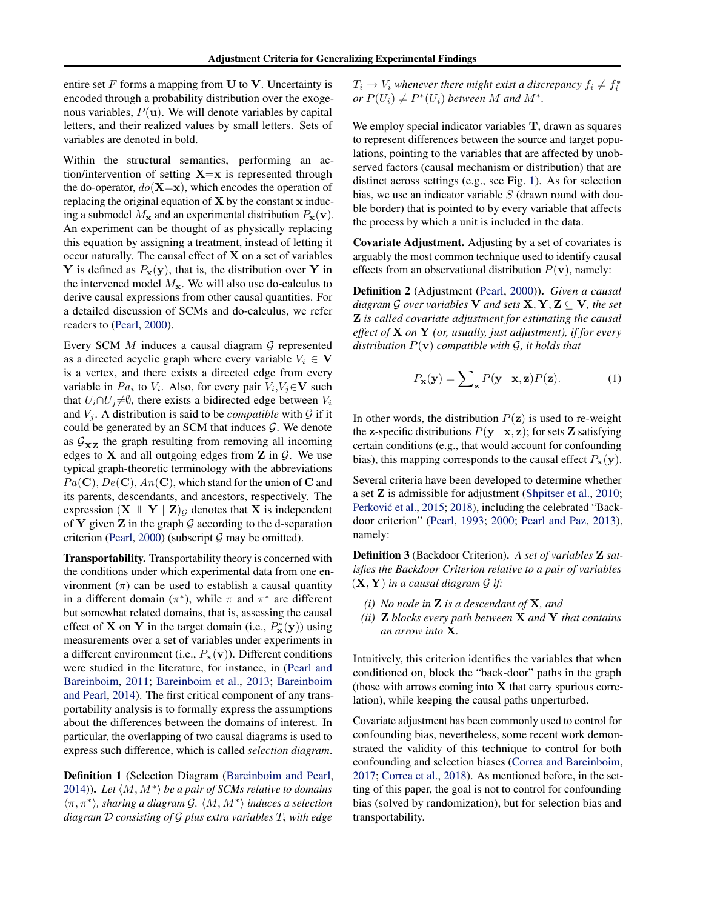entire set  $F$  forms a mapping from U to V. Uncertainty is encoded through a probability distribution over the exogenous variables,  $P(\mathbf{u})$ . We will denote variables by capital letters, and their realized values by small letters. Sets of variables are denoted in bold.

Within the structural semantics, performing an action/intervention of setting  $X=x$  is represented through the do-operator,  $do(X=x)$ , which encodes the operation of replacing the original equation of  $X$  by the constant  $x$  inducing a submodel  $M_{\mathbf{x}}$  and an experimental distribution  $P_{\mathbf{x}}(\mathbf{v})$ . An experiment can be thought of as physically replacing this equation by assigning a treatment, instead of letting it occur naturally. The causal effect of  $X$  on a set of variables Y is defined as  $P_x(y)$ , that is, the distribution over Y in the intervened model  $M_{\rm x}$ . We will also use do-calculus to derive causal expressions from other causal quantities. For a detailed discussion of SCMs and do-calculus, we refer readers to [\(Pearl,](#page-8-0) [2000\)](#page-8-0).

Every SCM  $M$  induces a causal diagram  $G$  represented as a directed acyclic graph where every variable  $V_i \in V$ is a vertex, and there exists a directed edge from every variable in  $Pa_i$  to  $V_i$ . Also, for every pair  $V_i, V_j \in \mathbf{V}$  such that  $U_i \cap U_j \neq \emptyset$ , there exists a bidirected edge between  $V_i$ and  $V_i$ . A distribution is said to be *compatible* with  $\mathcal G$  if it could be generated by an SCM that induces  $G$ . We denote as  $\mathcal{G}_{\overline{X}Z}$  the graph resulting from removing all incoming edges to X and all outgoing edges from Z in  $\mathcal G$ . We use typical graph-theoretic terminology with the abbreviations  $Pa(\mathbf{C}), De(\mathbf{C}), An(\mathbf{C}),$  which stand for the union of C and its parents, descendants, and ancestors, respectively. The expression  $(X \perp Y | Z)$ <sub>G</sub> denotes that X is independent of Y given Z in the graph  $G$  according to the d-separation criterion [\(Pearl,](#page-8-0) [2000\)](#page-8-0) (subscript  $G$  may be omitted).

Transportability. Transportability theory is concerned with the conditions under which experimental data from one environment  $(\pi)$  can be used to establish a causal quantity in a different domain  $(\pi^*)$ , while  $\pi$  and  $\pi^*$  are different but somewhat related domains, that is, assessing the causal effect of **X** on **Y** in the target domain (i.e.,  $P_{\mathbf{x}}^{*}(\mathbf{y})$ ) using measurements over a set of variables under experiments in a different environment (i.e.,  $P_{\mathbf{x}}(\mathbf{v})$ ). Different conditions were studied in the literature, for instance, in [\(Pearl and](#page-8-0) [Bareinboim,](#page-8-0) [2011;](#page-8-0) [Bareinboim et al.,](#page-8-0) [2013;](#page-8-0) [Bareinboim](#page-8-0) [and Pearl,](#page-8-0) [2014\)](#page-8-0). The first critical component of any transportability analysis is to formally express the assumptions about the differences between the domains of interest. In particular, the overlapping of two causal diagrams is used to express such difference, which is called *selection diagram*.

Definition 1 (Selection Diagram [\(Bareinboim and Pearl,](#page-8-0) [2014\)](#page-8-0)). Let  $\langle M, M^* \rangle$  be a pair of SCMs relative to domains  $\langle \pi, \pi^* \rangle$ , *sharing a diagram G.*  $\langle M, M^* \rangle$  *induces a selection diagram*  $D$  *consisting of*  $G$  *plus extra variables*  $T_i$  *with edge* 

 $T_i \rightarrow V_i$  whenever there might exist a discrepancy  $f_i \neq f_i^*$ *or*  $P(U_i) \neq P^*(U_i)$  *between M and*  $M^*$ *.* 

We employ special indicator variables T, drawn as squares to represent differences between the source and target populations, pointing to the variables that are affected by unobserved factors (causal mechanism or distribution) that are distinct across settings (e.g., see Fig. [1\)](#page-1-0). As for selection bias, we use an indicator variable  $S$  (drawn round with double border) that is pointed to by every variable that affects the process by which a unit is included in the data.

Covariate Adjustment. Adjusting by a set of covariates is arguably the most common technique used to identify causal effects from an observational distribution  $P(\mathbf{v})$ , namely:

Definition 2 (Adjustment [\(Pearl,](#page-8-0) [2000\)](#page-8-0)). *Given a causal diagram* G *over variables* V *and sets*  $X, Y, Z \subseteq V$ *, the set* Z *is called covariate adjustment for estimating the causal effect of* X *on* Y *(or, usually, just adjustment), if for every distribution* P(v) *compatible with* G*, it holds that*

$$
P_{\mathbf{x}}(\mathbf{y}) = \sum_{\mathbf{z}} P(\mathbf{y} \mid \mathbf{x}, \mathbf{z}) P(\mathbf{z}). \tag{1}
$$

In other words, the distribution  $P(z)$  is used to re-weight the z-specific distributions  $P(y | x, z)$ ; for sets Z satisfying certain conditions (e.g., that would account for confounding bias), this mapping corresponds to the causal effect  $P_{\mathbf{x}}(\mathbf{y})$ .

Several criteria have been developed to determine whether a set Z is admissible for adjustment [\(Shpitser et al.,](#page-8-0) [2010;](#page-8-0) Perković et al., [2015;](#page-8-0) [2018\)](#page-8-0), including the celebrated "Backdoor criterion" [\(Pearl,](#page-8-0) [1993;](#page-8-0) [2000;](#page-8-0) [Pearl and Paz,](#page-8-0) [2013\)](#page-8-0), namely:

Definition 3 (Backdoor Criterion). *A set of variables* Z *satisfies the Backdoor Criterion relative to a pair of variables*  $(X, Y)$  *in a causal diagram G if:* 

- *(i) No node in* Z *is a descendant of* X*, and*
- *(ii)* Z *blocks every path between* X *and* Y *that contains an arrow into* X*.*

Intuitively, this criterion identifies the variables that when conditioned on, block the "back-door" paths in the graph (those with arrows coming into  $X$  that carry spurious correlation), while keeping the causal paths unperturbed.

Covariate adjustment has been commonly used to control for confounding bias, nevertheless, some recent work demonstrated the validity of this technique to control for both confounding and selection biases [\(Correa and Bareinboim,](#page-8-0) [2017;](#page-8-0) [Correa et al.,](#page-8-0) [2018\)](#page-8-0). As mentioned before, in the setting of this paper, the goal is not to control for confounding bias (solved by randomization), but for selection bias and transportability.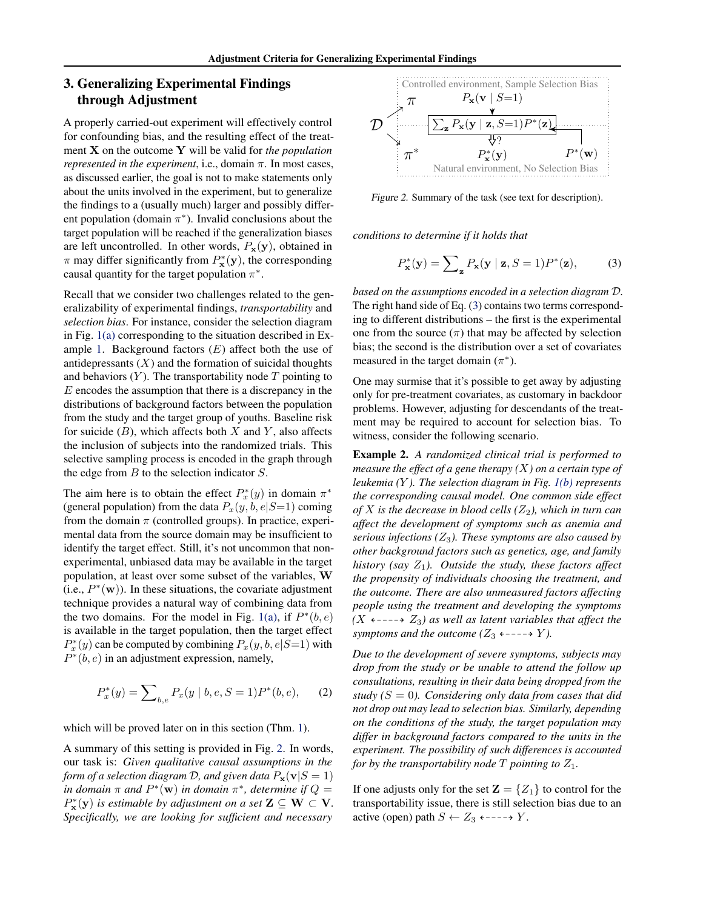# <span id="page-3-0"></span>3. Generalizing Experimental Findings through Adjustment

A properly carried-out experiment will effectively control for confounding bias, and the resulting effect of the treatment X on the outcome Y will be valid for *the population represented in the experiment*, i.e., domain  $\pi$ . In most cases, as discussed earlier, the goal is not to make statements only about the units involved in the experiment, but to generalize the findings to a (usually much) larger and possibly different population (domain  $\pi^*$ ). Invalid conclusions about the target population will be reached if the generalization biases are left uncontrolled. In other words,  $P_x(y)$ , obtained in  $\pi$  may differ significantly from  $P_{\mathbf{x}}^*(\mathbf{y})$ , the corresponding causal quantity for the target population  $\pi^*$ .

Recall that we consider two challenges related to the generalizability of experimental findings, *transportability* and *selection bias*. For instance, consider the selection diagram in Fig. [1\(a\)](#page-1-0) corresponding to the situation described in Ex-ample [1.](#page-1-0) Background factors  $(E)$  affect both the use of antidepressants  $(X)$  and the formation of suicidal thoughts and behaviors  $(Y)$ . The transportability node  $T$  pointing to  $E$  encodes the assumption that there is a discrepancy in the distributions of background factors between the population from the study and the target group of youths. Baseline risk for suicide  $(B)$ , which affects both X and Y, also affects the inclusion of subjects into the randomized trials. This selective sampling process is encoded in the graph through the edge from  $B$  to the selection indicator  $S$ .

The aim here is to obtain the effect  $P_x^*(y)$  in domain  $\pi^*$ (general population) from the data  $P_x(y, b, e|S=1)$  coming from the domain  $\pi$  (controlled groups). In practice, experimental data from the source domain may be insufficient to identify the target effect. Still, it's not uncommon that nonexperimental, unbiased data may be available in the target population, at least over some subset of the variables, W (i.e.,  $P^*(\mathbf{w})$ ). In these situations, the covariate adjustment technique provides a natural way of combining data from the two domains. For the model in Fig. [1\(a\),](#page-1-0) if  $P^*(b, e)$ is available in the target population, then the target effect  $P_x^*(y)$  can be computed by combining  $P_x(y, b, e|S=1)$  with  $P^*(b, e)$  in an adjustment expression, namely,

$$
P_x^*(y) = \sum_{b,e} P_x(y \mid b, e, S = 1)P^*(b, e), \quad (2)
$$

which will be proved later on in this section (Thm. [1\)](#page-4-0).

A summary of this setting is provided in Fig. 2. In words, our task is: *Given qualitative causal assumptions in the form of a selection diagram* D, and given data  $P_x(\mathbf{v}|S=1)$ *in domain*  $\pi$  *and*  $P^*(\mathbf{w})$  *in domain*  $\pi^*$ *, determine if*  $Q =$  $P_{\mathbf{x}}^{*}(\mathbf{y})$  *is estimable by adjustment on a set*  $\mathbf{Z} \subseteq \mathbf{W} \subset \mathbf{V}$ . *Specifically, we are looking for sufficient and necessary*



Figure 2. Summary of the task (see text for description).

*conditions to determine if it holds that*

$$
P_{\mathbf{x}}^*(\mathbf{y}) = \sum_{\mathbf{z}} P_{\mathbf{x}}(\mathbf{y} \mid \mathbf{z}, S = 1) P^*(\mathbf{z}), \quad (3)
$$

*based on the assumptions encoded in a selection diagram* D*.* The right hand side of Eq. (3) contains two terms corresponding to different distributions – the first is the experimental one from the source  $(\pi)$  that may be affected by selection bias; the second is the distribution over a set of covariates measured in the target domain  $(\pi^*)$ .

One may surmise that it's possible to get away by adjusting only for pre-treatment covariates, as customary in backdoor problems. However, adjusting for descendants of the treatment may be required to account for selection bias. To witness, consider the following scenario.

Example 2. *A randomized clinical trial is performed to measure the effect of a gene therapy (*X*) on a certain type of leukemia (*Y *). The selection diagram in Fig. [1\(b\)](#page-1-0) represents the corresponding causal model. One common side effect of*  $X$  *is the decrease in blood cells* ( $Z_2$ ), which in turn can *affect the development of symptoms such as anemia and serious infections (*Z3*). These symptoms are also caused by other background factors such as genetics, age, and family history (say*  $Z_1$ *). Outside the study, these factors affect the propensity of individuals choosing the treatment, and the outcome. There are also unmeasured factors affecting people using the treatment and developing the symptoms*  $(X \leftarrow \rightarrow Z_3)$  as well as latent variables that affect the *symptoms and the outcome* ( $Z_3$   $\leftarrow$  – – –  $\rightarrow$  *Y*).

*Due to the development of severe symptoms, subjects may drop from the study or be unable to attend the follow up consultations, resulting in their data being dropped from the study (*S = 0*). Considering only data from cases that did not drop out may lead to selection bias. Similarly, depending on the conditions of the study, the target population may differ in background factors compared to the units in the experiment. The possibility of such differences is accounted for by the transportability node*  $T$  *pointing to*  $Z_1$ *.* 

If one adjusts only for the set  $\mathbf{Z} = \{Z_1\}$  to control for the transportability issue, there is still selection bias due to an active (open) path  $S \leftarrow Z_3 \leftarrow \rightarrow Y$ .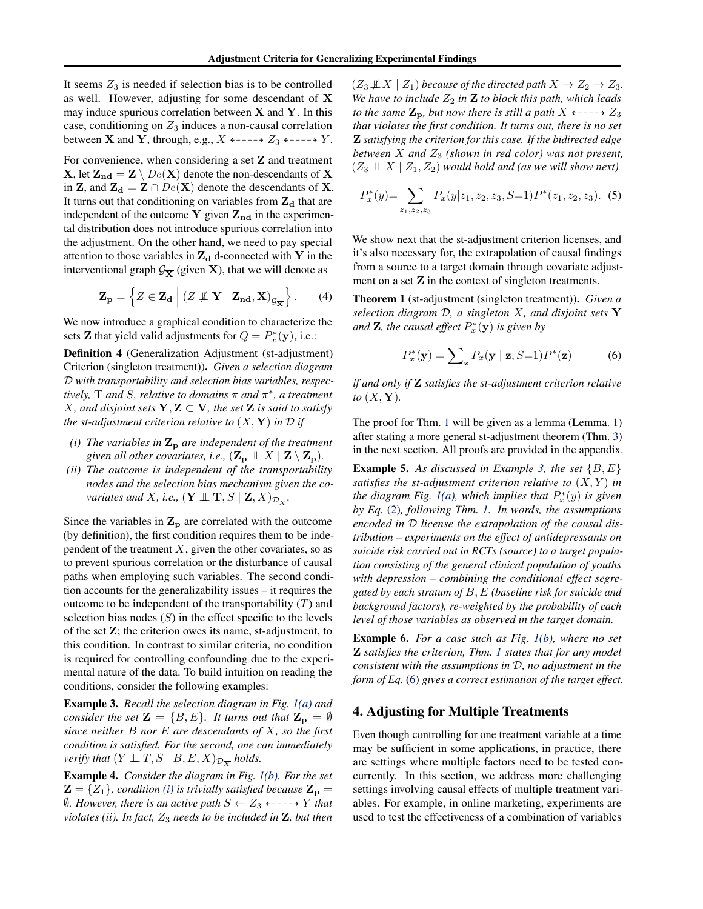<span id="page-4-0"></span>It seems  $Z_3$  is needed if selection bias is to be controlled as well. However, adjusting for some descendant of X may induce spurious correlation between  $X$  and  $Y$ . In this case, conditioning on  $Z_3$  induces a non-causal correlation between **X** and **Y**, through, e.g.,  $X \leftarrow \leftarrow \rightarrow Z_3 \leftarrow \leftarrow \rightarrow Y$ .

For convenience, when considering a set  $Z$  and treatment **X**, let  $\mathbf{Z}_{nd} = \mathbf{Z} \setminus De(\mathbf{X})$  denote the non-descendants of **X** in **Z**, and  $\mathbf{Z}_d = \mathbf{Z} \cap De(\mathbf{X})$  denote the descendants of **X**. It turns out that conditioning on variables from  $Z_d$  that are independent of the outcome Y given  $Z_{nd}$  in the experimental distribution does not introduce spurious correlation into the adjustment. On the other hand, we need to pay special attention to those variables in  $Z_d$  d-connected with Y in the interventional graph  $\mathcal{G}_{\overline{X}}$  (given **X**), that we will denote as

$$
\mathbf{Z}_{\mathbf{p}} = \left\{ Z \in \mathbf{Z}_{\mathbf{d}} \mid (Z \not\perp \mathbf{Y} \mid \mathbf{Z}_{\mathbf{nd}}, \mathbf{X})_{\mathcal{G}_{\overline{\mathbf{X}}}} \right\}.
$$
 (4)

We now introduce a graphical condition to characterize the sets **Z** that yield valid adjustments for  $Q = P_x^*(y)$ , i.e.:

Definition 4 (Generalization Adjustment (st-adjustment) Criterion (singleton treatment)). *Given a selection diagram* D *with transportability and selection bias variables, respectively,* T *and* S*, relative to domains* π *and* π ∗ *, a treatment X*, and disjoint sets  $Y, Z \subset V$ , the set **Z** is said to satisfy *the st-adjustment criterion relative to*  $(X, Y)$  *in*  $D$  *if* 

- *(i) The variables in*  $\mathbf{Z}_p$  *are independent of the treatment given all other covariates, i.e.,*  $(\mathbf{Z}_{\mathbf{p}} \perp X \mid \mathbf{Z} \setminus \mathbf{Z}_{\mathbf{p}})$ *.*
- *(ii) The outcome is independent of the transportability nodes and the selection bias mechanism given the covariates and X, i.e.,*  $(\mathbf{Y} \perp \! \! \! \perp \mathbf{T}, S \mid \mathbf{Z}, X)_{\mathcal{D}_{\overline{X}}}$ .

Since the variables in  $\mathbf{Z}_p$  are correlated with the outcome (by definition), the first condition requires them to be independent of the treatment  $X$ , given the other covariates, so as to prevent spurious correlation or the disturbance of causal paths when employing such variables. The second condition accounts for the generalizability issues – it requires the outcome to be independent of the transportability  $(T)$  and selection bias nodes  $(S)$  in the effect specific to the levels of the set Z; the criterion owes its name, st-adjustment, to this condition. In contrast to similar criteria, no condition is required for controlling confounding due to the experimental nature of the data. To build intuition on reading the conditions, consider the following examples:

Example 3. *Recall the selection diagram in Fig. [1\(a\)](#page-1-0) and consider the set*  $\mathbf{Z} = \{B, E\}$ *. It turns out that*  $\mathbf{Z_p} = \emptyset$ *since neither* B *nor* E *are descendants of* X*, so the first condition is satisfied. For the second, one can immediately verify that*  $(Y \perp\!\!\!\perp T, S \mid B, E, X)_{\mathcal{D}_{\overline{X}}}$  *holds.* 

Example 4. *Consider the diagram in Fig. [1\(b\).](#page-1-0) For the set*  $\mathbf{Z} = \{Z_1\}$ , condition (i) is trivially satisfied because  $\mathbf{Z_p} = \{Z_1\}$  $∅$ *. However, there is an active path*  $S ← Z_3$  ← – – → Y *that violates (ii). In fact,*  $Z_3$  *needs to be included in*  $\mathbf{Z}$ *, but then*   $(Z_3 \not\perp X \mid Z_1)$  *because of the directed path*  $X \to Z_2 \to Z_3$ *. We have to include*  $Z_2$  *in*  $\mathbb{Z}$  *to block this path, which leads to the same*  $\mathbb{Z}_p$ *, but now there is still a path*  $X \leftarrow \leftarrow \rightarrow Z_3$ *that violates the first condition. It turns out, there is no set* Z *satisfying the criterion for this case. If the bidirected edge between*  $X$  *and*  $Z_3$  *(shown in red color)* was not present,  $(Z_3 \perp\!\!\!\perp X \mid Z_1, Z_2)$  *would hold and (as we will show next)* 

$$
P_x^*(y) = \sum_{z_1, z_2, z_3} P_x(y|z_1, z_2, z_3, S=1) P^*(z_1, z_2, z_3). \tag{5}
$$

We show next that the st-adjustment criterion licenses, and it's also necessary for, the extrapolation of causal findings from a source to a target domain through covariate adjustment on a set  $Z$  in the context of singleton treatments.

Theorem 1 (st-adjustment (singleton treatment)). *Given a selection diagram* D*, a singleton* X*, and disjoint sets* Y and  $\mathbf{Z}$ *, the causal effect*  $P_x^*(\mathbf{y})$  *is given by* 

$$
P_x^*(\mathbf{y}) = \sum_{\mathbf{z}} P_x(\mathbf{y} \mid \mathbf{z}, S=1) P^*(\mathbf{z}) \tag{6}
$$

*if and only if* Z *satisfies the st-adjustment criterion relative* to  $(X, Y)$ .

The proof for Thm. 1 will be given as a lemma (Lemma. [1\)](#page-6-0) after stating a more general st-adjustment theorem (Thm. [3\)](#page-6-0) in the next section. All proofs are provided in the appendix.

**Example 5.** As discussed in Example 3, the set  $\{B, E\}$ *satisfies the st-adjustment criterion relative to*  $(X, Y)$  *in the diagram Fig. [1\(a\),](#page-1-0) which implies that*  $P_x^*(y)$  *is given by Eq.* [\(2\)](#page-3-0)*, following Thm. 1. In words, the assumptions encoded in* D *license the extrapolation of the causal distribution – experiments on the effect of antidepressants on suicide risk carried out in RCTs (source) to a target population consisting of the general clinical population of youths with depression – combining the conditional effect segregated by each stratum of* B, E *(baseline risk for suicide and background factors), re-weighted by the probability of each level of those variables as observed in the target domain.*

Example 6. *For a case such as Fig. [1\(b\),](#page-1-0) where no set* Z *satisfies the criterion, Thm. 1 states that for any model consistent with the assumptions in* D*, no adjustment in the form of Eq.* (6) *gives a correct estimation of the target effect.*

### 4. Adjusting for Multiple Treatments

Even though controlling for one treatment variable at a time may be sufficient in some applications, in practice, there are settings where multiple factors need to be tested concurrently. In this section, we address more challenging settings involving causal effects of multiple treatment variables. For example, in online marketing, experiments are used to test the effectiveness of a combination of variables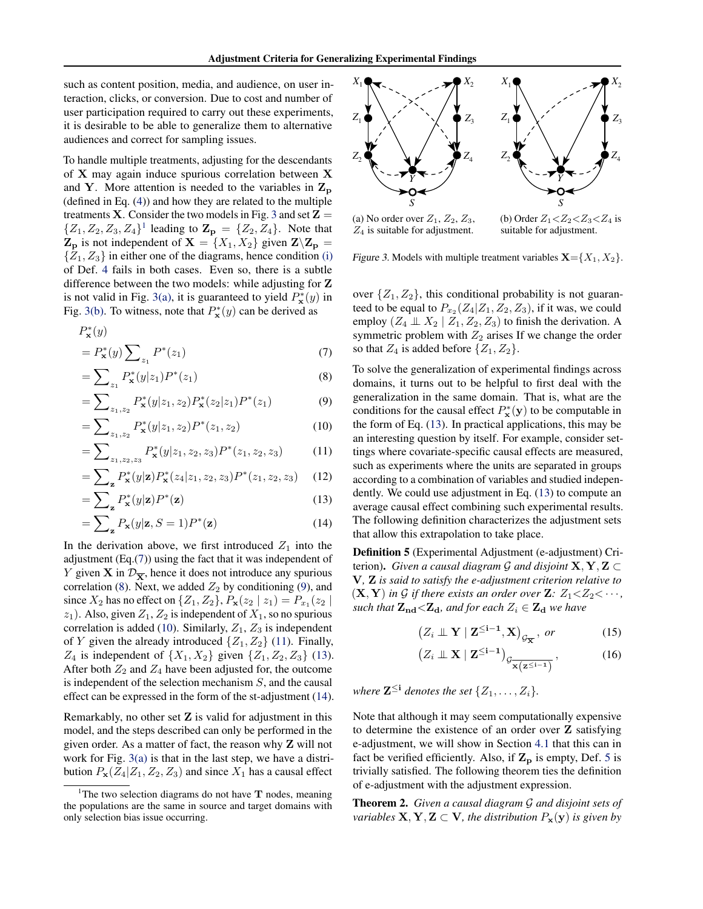<span id="page-5-0"></span>such as content position, media, and audience, on user interaction, clicks, or conversion. Due to cost and number of user participation required to carry out these experiments, it is desirable to be able to generalize them to alternative audiences and correct for sampling issues.

To handle multiple treatments, adjusting for the descendants of X may again induce spurious correlation between X and Y. More attention is needed to the variables in  $Z_p$ (defined in Eq. [\(4\)](#page-4-0)) and how they are related to the multiple treatments **X**. Consider the two models in Fig. 3 and set  $\mathbf{Z} =$  $\{Z_1, Z_2, Z_3, Z_4\}^1$  leading to  $\mathbf{Z}_{\mathbf{p}} = \{Z_2, Z_4\}$ . Note that  $\mathbf{Z}_{\mathbf{p}}$  is not independent of  $\mathbf{X} = \{X_1, X_2\}$  given  $\mathbf{Z} \setminus \mathbf{Z}_{\mathbf{p}} =$  $\{Z_1, Z_3\}$  in either one of the diagrams, hence condition [\(i\)](#page-4-0) of Def. [4](#page-4-0) fails in both cases. Even so, there is a subtle difference between the two models: while adjusting for Z is not valid in Fig. 3(a), it is guaranteed to yield  $P_{\mathbf{x}}^{*}(y)$  in Fig. 3(b). To witness, note that  $P^*_{\mathbf{x}}(y)$  can be derived as

$$
P_{\mathbf{x}}^{*}(y) = P_{\mathbf{x}}^{*}(y) \sum_{z_{1}} P^{*}(z_{1})
$$
\n(7)

$$
= \sum_{z_1} P_{\mathbf{x}}^*(y|z_1) P^*(z_1)
$$
 (8)

$$
= \sum_{z_1, z_2} P_{\mathbf{x}}^*(y|z_1, z_2) P_{\mathbf{x}}^*(z_2|z_1) P^*(z_1)
$$
(9)

$$
= \sum_{z_1, z_2} P_{\mathbf{x}}^*(y|z_1, z_2) P^*(z_1, z_2)
$$
 (10)

$$
= \sum_{z_1, z_2, z_3} P_{\mathbf{x}}^*(y|z_1, z_2, z_3) P^*(z_1, z_2, z_3)
$$
 (11)

$$
= \sum_{\mathbf{z}} P_{\mathbf{x}}^*(y|\mathbf{z}) P_{\mathbf{x}}^*(z_4|z_1, z_2, z_3) P^*(z_1, z_2, z_3) \quad (12)
$$

$$
=\sum_{\mathbf{z}} P_{\mathbf{x}}^*(y|\mathbf{z}) P^*(\mathbf{z})\tag{13}
$$

$$
= \sum_{\mathbf{z}} P_{\mathbf{x}}(y|\mathbf{z}, S=1)P^*(\mathbf{z})
$$
 (14)

In the derivation above, we first introduced  $Z_1$  into the adjustment (Eq.(7)) using the fact that it was independent of Y given **X** in  $\mathcal{D}_{\overline{X}}$ , hence it does not introduce any spurious correlation (8). Next, we added  $Z_2$  by conditioning (9), and since  $X_2$  has no effect on  $\{Z_1, Z_2\}$ ,  $P_x(z_2 | z_1) = P_{x_1}(z_2 | z_2)$  $z_1$ ). Also, given  $Z_1, Z_2$  is independent of  $X_1$ , so no spurious correlation is added (10). Similarly,  $Z_1$ ,  $Z_3$  is independent of Y given the already introduced  $\{Z_1, Z_2\}$  (11). Finally,  $Z_4$  is independent of  $\{X_1, X_2\}$  given  $\{Z_1, Z_2, Z_3\}$  (13). After both  $Z_2$  and  $Z_4$  have been adjusted for, the outcome is independent of the selection mechanism  $S$ , and the causal effect can be expressed in the form of the st-adjustment (14).

Remarkably, no other set  $Z$  is valid for adjustment in this model, and the steps described can only be performed in the given order. As a matter of fact, the reason why Z will not work for Fig. 3(a) is that in the last step, we have a distribution  $P_{\mathbf{x}}(Z_4|Z_1, Z_2, Z_3)$  and since  $X_1$  has a causal effect



Figure 3. Models with multiple treatment variables  $\mathbf{X} = \{X_1, X_2\}.$ 

over  $\{Z_1, Z_2\}$ , this conditional probability is not guaranteed to be equal to  $P_{x_2}(Z_4|Z_1,Z_2,Z_3)$ , if it was, we could employ  $(Z_4 \perp \!\!\!\perp X_2 \mid Z_1, Z_2, Z_3)$  to finish the derivation. A symmetric problem with  $Z_2$  arises If we change the order so that  $Z_4$  is added before  $\{Z_1, Z_2\}$ .

To solve the generalization of experimental findings across domains, it turns out to be helpful to first deal with the generalization in the same domain. That is, what are the conditions for the causal effect  $P_{\mathbf{x}}^*(\mathbf{y})$  to be computable in the form of Eq. (13). In practical applications, this may be an interesting question by itself. For example, consider settings where covariate-specific causal effects are measured, such as experiments where the units are separated in groups according to a combination of variables and studied independently. We could use adjustment in Eq. (13) to compute an average causal effect combining such experimental results. The following definition characterizes the adjustment sets that allow this extrapolation to take place.

Definition 5 (Experimental Adjustment (e-adjustment) Criterion). *Given a causal diagram G and disjoint*  $X, Y, Z \subset$ V*,* Z *is said to satisfy the e-adjustment criterion relative to*  $(X, Y)$  *in*  $G$  *if there exists an order over*  $Z: Z_1 \lt Z_2 \lt \cdots$ , *such that*  $\mathbf{Z}_{nd} < \mathbf{Z}_d$ *, and for each*  $Z_i \in \mathbf{Z}_d$  *we have* 

$$
\left(Z_i \perp \!\!\!\perp Y \mid \mathbf{Z}^{\leq i-1}, \mathbf{X}\right)_{\mathcal{G}_{\overline{\mathbf{X}}}}, or \hspace{1cm} (15)
$$

$$
\left(Z_i \perp \!\!\!\perp X \mid \mathbf{Z}^{\leq i-1}\right)_{\mathcal{G}_{\overline{\mathbf{X}}\left(\mathbf{Z}^{\leq i-1}\right)}},\tag{16}
$$

where  $\mathbf{Z}^{\leq i}$  denotes the set  $\{Z_1, \ldots, Z_i\}$ .

Note that although it may seem computationally expensive to determine the existence of an order over Z satisfying e-adjustment, we will show in Section [4.1](#page-6-0) that this can in fact be verified efficiently. Also, if  $\mathbf{Z}_p$  is empty, Def. 5 is trivially satisfied. The following theorem ties the definition of e-adjustment with the adjustment expression.

Theorem 2. *Given a causal diagram* G *and disjoint sets of variables*  $X, Y, Z \subset V$ *, the distribution*  $P_x(y)$  *is given by* 

<sup>&</sup>lt;sup>1</sup>The two selection diagrams do not have  $T$  nodes, meaning the populations are the same in source and target domains with only selection bias issue occurring.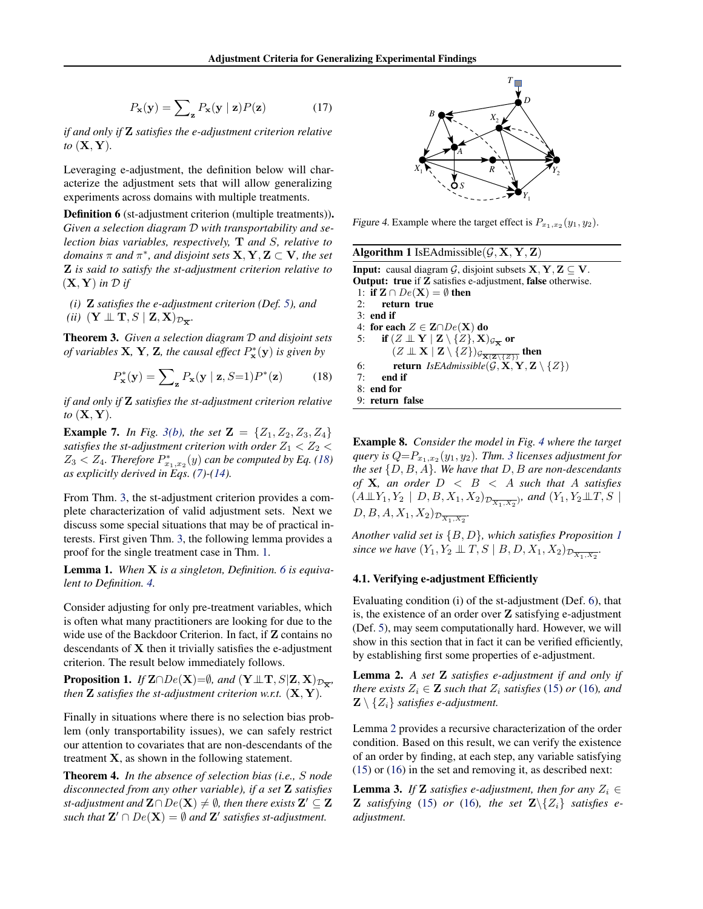$$
P_{\mathbf{x}}(\mathbf{y}) = \sum_{\mathbf{z}} P_{\mathbf{x}}(\mathbf{y} \mid \mathbf{z}) P(\mathbf{z}) \tag{17}
$$

<span id="page-6-0"></span>*if and only if* Z *satisfies the e-adjustment criterion relative to* (X, Y)*.*

Leveraging e-adjustment, the definition below will characterize the adjustment sets that will allow generalizing experiments across domains with multiple treatments.

Definition 6 (st-adjustment criterion (multiple treatments)). *Given a selection diagram* D *with transportability and selection bias variables, respectively,* T *and* S*, relative to*  $domains \pi$  and  $\pi^*$ , and disjoint sets  $X, Y, Z \subset V$ , the set Z *is said to satisfy the st-adjustment criterion relative to*  $(X, Y)$  *in*  $D$  *if* 

*(i)* Z *satisfies the e-adjustment criterion (Def. [5\)](#page-5-0), and*

*(ii)*  $(Y \perp\!\!\!\perp T, S \mid \mathbf{Z}, \mathbf{X})_{\mathcal{D}_{\overline{\mathbf{X}}}}$ *.* 

Theorem 3. *Given a selection diagram* D *and disjoint sets of variables* **X**, **Y**, **Z**, the causal effect  $P_{\mathbf{x}}^{*}(\mathbf{y})$  is given by

$$
P_{\mathbf{x}}^*(\mathbf{y}) = \sum_{\mathbf{z}} P_{\mathbf{x}}(\mathbf{y} \mid \mathbf{z}, S=1) P^*(\mathbf{z}) \tag{18}
$$

*if and only if* Z *satisfies the st-adjustment criterion relative to* (X, Y)*.*

**Example 7.** *In Fig. [3\(b\),](#page-5-0) the set*  $\mathbf{Z} = \{Z_1, Z_2, Z_3, Z_4\}$ *satisfies the st-adjustment criterion with order*  $Z_1 < Z_2 <$  $Z_3 < Z_4$ . Therefore  $P_{x_1,x_2}^*(y)$  can be computed by Eq. (18) *as explicitly derived in Eqs. [\(7\)](#page-5-0)-[\(14\)](#page-5-0).*

From Thm. 3, the st-adjustment criterion provides a complete characterization of valid adjustment sets. Next we discuss some special situations that may be of practical interests. First given Thm. 3, the following lemma provides a proof for the single treatment case in Thm. [1.](#page-4-0)

Lemma 1. *When* X *is a singleton, Definition. 6 is equivalent to Definition. [4.](#page-4-0)*

Consider adjusting for only pre-treatment variables, which is often what many practitioners are looking for due to the wide use of the Backdoor Criterion. In fact, if **Z** contains no descendants of  $X$  then it trivially satisfies the e-adjustment criterion. The result below immediately follows.

**Proposition 1.** *If*  $\mathbf{Z} \cap De(\mathbf{X}) = \emptyset$ *, and*  $(\mathbf{Y} \perp \! \perp \! \mathbf{T}, S | \mathbf{Z}, \mathbf{X})_{\mathcal{D}_{\overline{\mathbf{X}}}},$ *then*  $\mathbf{Z}$  *satisfies the st-adjustment criterion w.r.t.*  $(\mathbf{X}, \mathbf{Y})$ *.* 

Finally in situations where there is no selection bias problem (only transportability issues), we can safely restrict our attention to covariates that are non-descendants of the treatment  $X$ , as shown in the following statement.

Theorem 4. *In the absence of selection bias (i.e.,* S *node disconnected from any other variable), if a set* Z *satisfies st-adjustment and*  $\mathbf{Z} \cap De(\mathbf{X}) \neq \emptyset$ , then there exists  $\mathbf{Z}' \subseteq \mathbf{Z}$ such that  $\mathbf{Z}' \cap De(\mathbf{X}) = \emptyset$  and  $\mathbf{Z}'$  satisfies st-adjustment.



Figure 4. Example where the target effect is  $P_{x_1,x_2}(y_1, y_2)$ .

| <b>Algorithm 1</b> IsEAdmissible( $G$ , <b>X</b> , <b>Y</b> , <b>Z</b> )                                             |
|----------------------------------------------------------------------------------------------------------------------|
| <b>Input:</b> causal diagram G, disjoint subsets $X, Y, Z \subseteq V$ .                                             |
| <b>Output: true</b> if <b>Z</b> satisfies e-adjustment, <b>false</b> otherwise.                                      |
| 1: if $\mathbf{Z} \cap De(\mathbf{X}) = \emptyset$ then                                                              |
| $2:$ return true                                                                                                     |
| $3:$ end if                                                                                                          |
| 4: for each $Z \in \mathbf{Z} \cap De(\mathbf{X})$ do                                                                |
| 5: if $(Z \perp \!\!\!\perp Y \mid \mathbf{Z} \setminus \{Z\}, \mathbf{X})_{\mathcal{G}_{\overline{\mathbf{X}}}}$ or |
| $(Z \perp \!\!\! \perp X \mid \mathbf{Z} \setminus \{Z\})$ g <sub>x(z\{z\}</sub> then                                |
| <b>return</b> IsEAdmissible( $G$ , <b>X</b> , <b>Y</b> , <b>Z</b> \{ <i>Z</i> })<br>6:                               |
| 7:<br>end if                                                                                                         |
| $8:$ end for                                                                                                         |
| 9: return false                                                                                                      |

Example 8. *Consider the model in Fig. 4 where the target*  $query$  is  $Q{=}P_{x_1, x_2}(y_1, y_2)$ . Thm. 3 licenses adjustment for *the set* {D, B, A}*. We have that* D, B *are non-descendants of* X*, an order* D < B < A *such that* A *satisfies*  $(A \perp\!\!\!\perp Y_1, Y_2 \mid D, B, X_1, X_2)_{\mathcal{D}_{\overline{X_1, X_2}}},$  and  $(Y_1, Y_2 \perp\!\!\!\perp T, S \mid$  $D, B, A, X_1, X_2$ <sub> $D_{\overline{X_1, X_2}}$ <sup>.</sup></sub>

*Another valid set is* {B, D}*, which satisfies Proposition 1 since we have*  $(Y_1, Y_2 \perp\!\!\!\perp T, S \mid B, D, X_1, X_2)_{\mathcal{D}_{\overline{X_1, X_2}}}$ .

#### 4.1. Verifying e-adjustment Efficiently

Evaluating condition (i) of the st-adjustment (Def. 6), that is, the existence of an order over Z satisfying e-adjustment (Def. [5\)](#page-5-0), may seem computationally hard. However, we will show in this section that in fact it can be verified efficiently, by establishing first some properties of e-adjustment.

Lemma 2. *A set* Z *satisfies e-adjustment if and only if there exists*  $Z_i \in \mathbf{Z}$  *such that*  $Z_i$  *satisfies* [\(15\)](#page-5-0) *or* [\(16\)](#page-5-0)*, and*  $\mathbf{Z} \setminus \{Z_i\}$  *satisfies e-adjustment.* 

Lemma 2 provides a recursive characterization of the order condition. Based on this result, we can verify the existence of an order by finding, at each step, any variable satisfying [\(15\)](#page-5-0) or [\(16\)](#page-5-0) in the set and removing it, as described next:

**Lemma 3.** *If* **Z** *satisfies e-adjustment, then for any*  $Z_i \in$ **Z** *satisfying* [\(15\)](#page-5-0) *or* [\(16\)](#page-5-0)*, the set*  $\mathbb{Z}\setminus\{Z_i\}$  *satisfies eadjustment.*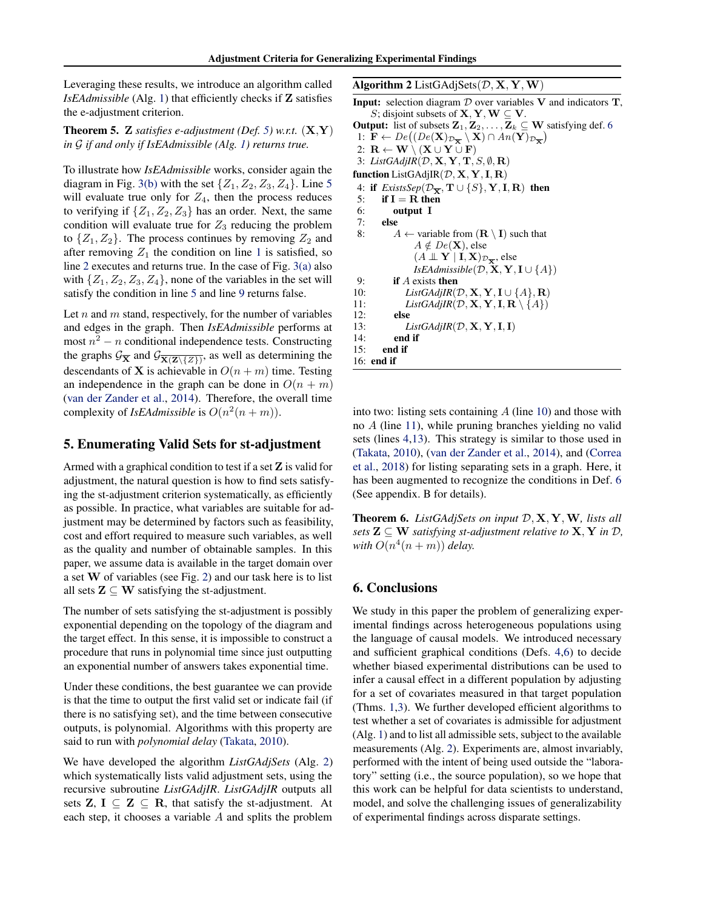<span id="page-7-0"></span>Leveraging these results, we introduce an algorithm called *IsEAdmissible* (Alg. [1\)](#page-6-0) that efficiently checks if Z satisfies the e-adjustment criterion.

**Theorem 5.** Z *satisfies e-adjustment* (Def. [5\)](#page-5-0) w.r.t.  $(X, Y)$ *in* G *if and only if IsEAdmissible (Alg. [1\)](#page-6-0) returns true.*

To illustrate how *IsEAdmissible* works, consider again the diagram in Fig. [3\(b\)](#page-5-0) with the set  $\{Z_1, Z_2, Z_3, Z_4\}$ . Line [5](#page-6-0) will evaluate true only for  $Z_4$ , then the process reduces to verifying if  $\{Z_1, Z_2, Z_3\}$  has an order. Next, the same condition will evaluate true for  $Z_3$  reducing the problem to  $\{Z_1, Z_2\}$ . The process continues by removing  $Z_2$  and after removing  $Z_1$  $Z_1$  the condition on line 1 is satisfied, so line [2](#page-6-0) executes and returns true. In the case of Fig. [3\(a\)](#page-5-0) also with  $\{Z_1, Z_2, Z_3, Z_4\}$ , none of the variables in the set will satisfy the condition in line [5](#page-6-0) and line [9](#page-6-0) returns false.

Let  $n$  and  $m$  stand, respectively, for the number of variables and edges in the graph. Then *IsEAdmissible* performs at most  $n^2 - n$  conditional independence tests. Constructing the graphs  $\mathcal{G}_{\overline{\mathbf{X}}}$  and  $\mathcal{G}_{\overline{\mathbf{X}(\mathbf{Z}\setminus{\{Z\}})}}$ , as well as determining the descendants of **X** is achievable in  $O(n + m)$  time. Testing an independence in the graph can be done in  $O(n + m)$ [\(van der Zander et al.,](#page-9-0) [2014\)](#page-9-0). Therefore, the overall time complexity of *IsEAdmissible* is  $O(n^2(n+m))$ .

#### 5. Enumerating Valid Sets for st-adjustment

Armed with a graphical condition to test if a set  $Z$  is valid for adjustment, the natural question is how to find sets satisfying the st-adjustment criterion systematically, as efficiently as possible. In practice, what variables are suitable for adjustment may be determined by factors such as feasibility, cost and effort required to measure such variables, as well as the quality and number of obtainable samples. In this paper, we assume data is available in the target domain over a set W of variables (see Fig. [2\)](#page-3-0) and our task here is to list all sets  $\mathbf{Z} \subseteq \mathbf{W}$  satisfying the st-adjustment.

The number of sets satisfying the st-adjustment is possibly exponential depending on the topology of the diagram and the target effect. In this sense, it is impossible to construct a procedure that runs in polynomial time since just outputting an exponential number of answers takes exponential time.

Under these conditions, the best guarantee we can provide is that the time to output the first valid set or indicate fail (if there is no satisfying set), and the time between consecutive outputs, is polynomial. Algorithms with this property are said to run with *polynomial delay* [\(Takata,](#page-8-0) [2010\)](#page-8-0).

We have developed the algorithm *ListGAdjSets* (Alg. 2) which systematically lists valid adjustment sets, using the recursive subroutine *ListGAdjIR*. *ListGAdjIR* outputs all sets  $\mathbf{Z}, \mathbf{I} \subseteq \mathbf{Z} \subseteq \mathbf{R}$ , that satisfy the st-adjustment. At each step, it chooses a variable A and splits the problem

#### Algorithm 2 ListGAdjSets $(\mathcal{D}, \mathbf{X}, \mathbf{Y}, \mathbf{W})$

**Input:** selection diagram  $D$  over variables  $V$  and indicators  $T$ , S; disjoint subsets of  $X, Y, W \subseteq V$ . **Output:** list of subsets  $\mathbf{Z}_1, \mathbf{Z}_2, \ldots, \mathbf{Z}_k \subseteq \mathbf{W}$  satisfying def. [6](#page-6-0) 1:  $\mathbf{F} \leftarrow De((De(\mathbf{X})_{\mathcal{D}_{\overline{\mathbf{X}}}} \setminus \mathbf{X}) \cap An(\mathbf{Y})_{\mathcal{D}_{\overline{\mathbf{X}}}})$ 2:  $\mathbf{R} \leftarrow \mathbf{W} \setminus (\mathbf{X} \cup \mathbf{Y} \cup \mathbf{F})$ 3: *ListGAdjIR*(D, X, Y, T, S, ∅, R) function ListGAdjIR $(D, \mathbf{X}, \mathbf{Y}, \mathbf{I}, \mathbf{R})$ 4: if  $ExistsSep(\mathcal{D}_{\overline{X}}, T \cup \{S\}, Y, I, R)$  then<br>5: if I = R then if  $I = R$  then 6: output I 7: else 8:  $A \leftarrow$  variable from  $(\mathbf{R} \setminus \mathbf{I})$  such that  $A \notin De(X)$ , else  $(A \perp\!\!\!\perp \mathbf{Y} \mid \mathbf{I}, \mathbf{X})_{\mathcal{D}_{\overline{\mathbf{X}}}},$  else *IsEAdmissible*( $D$ ,  $X$ ,  $Y$ ,  $I \cup \{A\}$ ) 9: if A exists then 10: *ListGAdjIR*( $\mathcal{D}, \mathbf{X}, \mathbf{Y}, \mathbf{I} \cup \{A\}, \mathbf{R}$ ) 11: *ListGAdjIR*( $\mathcal{D}, \mathbf{X}, \mathbf{Y}, \mathbf{I}, \mathbf{R} \setminus \{A\}$ ) 12: else 13:  $ListGAdjIR(D, \mathbf{X}, \mathbf{Y}, \mathbf{I}, \mathbf{I})$ 14: end if

into two: listing sets containing  $A$  (line 10) and those with no A (line 11), while pruning branches yielding no valid sets (lines 4,13). This strategy is similar to those used in [\(Takata,](#page-8-0) [2010\)](#page-8-0), [\(van der Zander et al.,](#page-9-0) [2014\)](#page-9-0), and [\(Correa](#page-8-0) [et al.,](#page-8-0) [2018\)](#page-8-0) for listing separating sets in a graph. Here, it has been augmented to recognize the conditions in Def. [6](#page-6-0) (See appendix. B for details).

Theorem 6. *ListGAdjSets on input* D, X, Y,W*, lists all sets*  $\mathbf{Z} \subseteq \mathbf{W}$  *satisfying st-adjustment relative to*  $\mathbf{X}, \mathbf{Y}$  *in*  $\mathcal{D},$ with  $O(n^4(n+m))$  *delay.* 

# 6. Conclusions

15: end if 16: end if

We study in this paper the problem of generalizing experimental findings across heterogeneous populations using the language of causal models. We introduced necessary and sufficient graphical conditions (Defs. [4,](#page-4-0)[6\)](#page-6-0) to decide whether biased experimental distributions can be used to infer a causal effect in a different population by adjusting for a set of covariates measured in that target population (Thms. [1,](#page-4-0)[3\)](#page-6-0). We further developed efficient algorithms to test whether a set of covariates is admissible for adjustment (Alg. [1\)](#page-6-0) and to list all admissible sets, subject to the available measurements (Alg. 2). Experiments are, almost invariably, performed with the intent of being used outside the "laboratory" setting (i.e., the source population), so we hope that this work can be helpful for data scientists to understand, model, and solve the challenging issues of generalizability of experimental findings across disparate settings.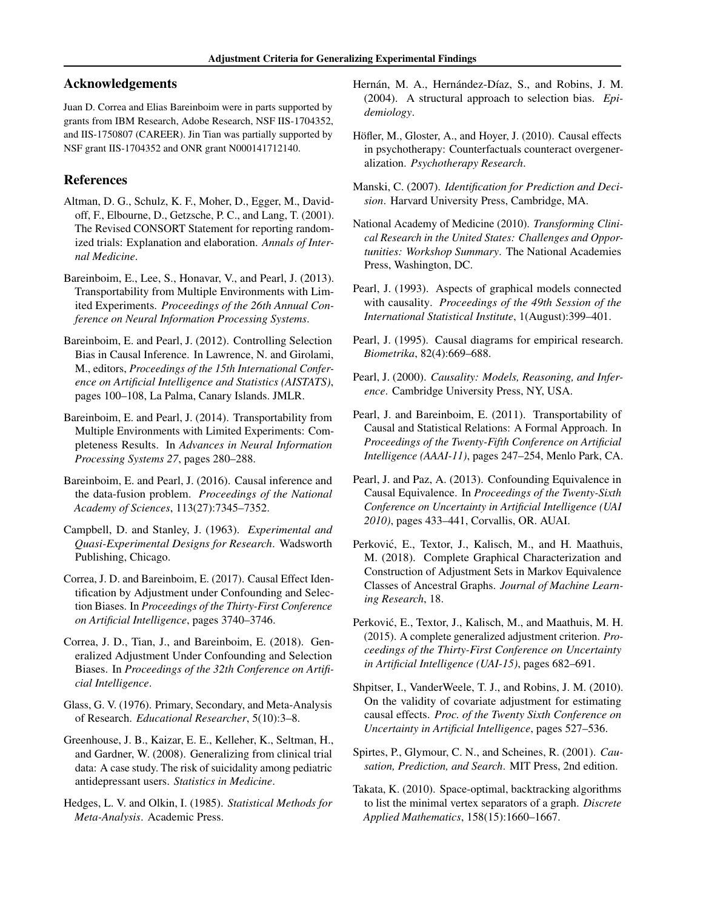# <span id="page-8-0"></span>Acknowledgements

Juan D. Correa and Elias Bareinboim were in parts supported by grants from IBM Research, Adobe Research, NSF IIS-1704352, and IIS-1750807 (CAREER). Jin Tian was partially supported by NSF grant IIS-1704352 and ONR grant N000141712140.

# References

- Altman, D. G., Schulz, K. F., Moher, D., Egger, M., Davidoff, F., Elbourne, D., Getzsche, P. C., and Lang, T. (2001). The Revised CONSORT Statement for reporting randomized trials: Explanation and elaboration. *Annals of Internal Medicine*.
- Bareinboim, E., Lee, S., Honavar, V., and Pearl, J. (2013). Transportability from Multiple Environments with Limited Experiments. *Proceedings of the 26th Annual Conference on Neural Information Processing Systems*.
- Bareinboim, E. and Pearl, J. (2012). Controlling Selection Bias in Causal Inference. In Lawrence, N. and Girolami, M., editors, *Proceedings of the 15th International Conference on Artificial Intelligence and Statistics (AISTATS)*, pages 100–108, La Palma, Canary Islands. JMLR.
- Bareinboim, E. and Pearl, J. (2014). Transportability from Multiple Environments with Limited Experiments: Completeness Results. In *Advances in Neural Information Processing Systems 27*, pages 280–288.
- Bareinboim, E. and Pearl, J. (2016). Causal inference and the data-fusion problem. *Proceedings of the National Academy of Sciences*, 113(27):7345–7352.
- Campbell, D. and Stanley, J. (1963). *Experimental and Quasi-Experimental Designs for Research*. Wadsworth Publishing, Chicago.
- Correa, J. D. and Bareinboim, E. (2017). Causal Effect Identification by Adjustment under Confounding and Selection Biases. In *Proceedings of the Thirty-First Conference on Artificial Intelligence*, pages 3740–3746.
- Correa, J. D., Tian, J., and Bareinboim, E. (2018). Generalized Adjustment Under Confounding and Selection Biases. In *Proceedings of the 32th Conference on Artificial Intelligence*.
- Glass, G. V. (1976). Primary, Secondary, and Meta-Analysis of Research. *Educational Researcher*, 5(10):3–8.
- Greenhouse, J. B., Kaizar, E. E., Kelleher, K., Seltman, H., and Gardner, W. (2008). Generalizing from clinical trial data: A case study. The risk of suicidality among pediatric antidepressant users. *Statistics in Medicine*.
- Hedges, L. V. and Olkin, I. (1985). *Statistical Methods for Meta-Analysis*. Academic Press.
- Hernán, M. A., Hernández-Díaz, S., and Robins, J. M. (2004). A structural approach to selection bias. *Epidemiology*.
- Höfler, M., Gloster, A., and Hoyer, J. (2010). Causal effects in psychotherapy: Counterfactuals counteract overgeneralization. *Psychotherapy Research*.
- Manski, C. (2007). *Identification for Prediction and Decision*. Harvard University Press, Cambridge, MA.
- National Academy of Medicine (2010). *Transforming Clinical Research in the United States: Challenges and Opportunities: Workshop Summary*. The National Academies Press, Washington, DC.
- Pearl, J. (1993). Aspects of graphical models connected with causality. *Proceedings of the 49th Session of the International Statistical Institute*, 1(August):399–401.
- Pearl, J. (1995). Causal diagrams for empirical research. *Biometrika*, 82(4):669–688.
- Pearl, J. (2000). *Causality: Models, Reasoning, and Inference*. Cambridge University Press, NY, USA.
- Pearl, J. and Bareinboim, E. (2011). Transportability of Causal and Statistical Relations: A Formal Approach. In *Proceedings of the Twenty-Fifth Conference on Artificial Intelligence (AAAI-11)*, pages 247–254, Menlo Park, CA.
- Pearl, J. and Paz, A. (2013). Confounding Equivalence in Causal Equivalence. In *Proceedings of the Twenty-Sixth Conference on Uncertainty in Artificial Intelligence (UAI 2010)*, pages 433–441, Corvallis, OR. AUAI.
- Perković, E., Textor, J., Kalisch, M., and H. Maathuis, M. (2018). Complete Graphical Characterization and Construction of Adjustment Sets in Markov Equivalence Classes of Ancestral Graphs. *Journal of Machine Learning Research*, 18.
- Perković, E., Textor, J., Kalisch, M., and Maathuis, M. H. (2015). A complete generalized adjustment criterion. *Proceedings of the Thirty-First Conference on Uncertainty in Artificial Intelligence (UAI-15)*, pages 682–691.
- Shpitser, I., VanderWeele, T. J., and Robins, J. M. (2010). On the validity of covariate adjustment for estimating causal effects. *Proc. of the Twenty Sixth Conference on Uncertainty in Artificial Intelligence*, pages 527–536.
- Spirtes, P., Glymour, C. N., and Scheines, R. (2001). *Causation, Prediction, and Search*. MIT Press, 2nd edition.
- Takata, K. (2010). Space-optimal, backtracking algorithms to list the minimal vertex separators of a graph. *Discrete Applied Mathematics*, 158(15):1660–1667.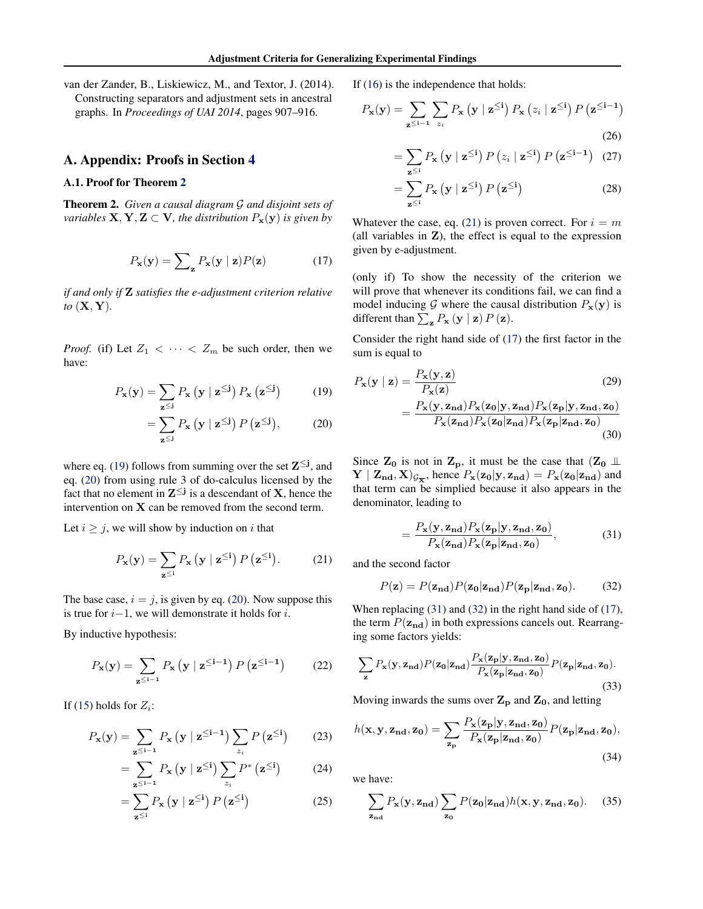<span id="page-9-0"></span>van der Zander, B., Liskiewicz, M., and Textor, J. (2014). Constructing separators and adjustment sets in ancestral graphs. In *Proceedings of UAI 2014*, pages 907–916.

#### A. Appendix: Proofs in Section [4](#page-4-0)

### A.1. Proof for Theorem [2](#page-5-0)

Theorem 2. *Given a causal diagram* G *and disjoint sets of variables*  $X, Y, Z \subset V$ *, the distribution*  $P_x(y)$  *is given by* 

$$
P_{\mathbf{x}}(\mathbf{y}) = \sum_{\mathbf{z}} P_{\mathbf{x}}(\mathbf{y} \mid \mathbf{z}) P(\mathbf{z}) \tag{17}
$$

*if and only if* Z *satisfies the e-adjustment criterion relative to* (X, Y)*.*

*Proof.* (if) Let  $Z_1 < \cdots < Z_m$  be such order, then we have:

$$
P_{\mathbf{x}}(\mathbf{y}) = \sum_{\mathbf{z} \leq \mathbf{i}} P_{\mathbf{x}} \left( \mathbf{y} \mid \mathbf{z} \leq \mathbf{i} \right) P_{\mathbf{x}} \left( \mathbf{z} \leq \mathbf{i} \right) \tag{19}
$$

$$
= \sum_{\mathbf{z} \leq \mathbf{j}} P_{\mathbf{x}} \left( \mathbf{y} \mid \mathbf{z} \leq \mathbf{j} \right) P \left( \mathbf{z} \leq \mathbf{j} \right), \tag{20}
$$

where eq. (19) follows from summing over the set  $\mathbf{Z}^{\leq j}$ , and eq. (20) from using rule 3 of do-calculus licensed by the fact that no element in  $Z^{\leq j}$  is a descendant of X, hence the intervention on  $X$  can be removed from the second term.

Let  $i \geq j$ , we will show by induction on i that

$$
P_{\mathbf{x}}(\mathbf{y}) = \sum_{\mathbf{z} \leq i} P_{\mathbf{x}} \left( \mathbf{y} \mid \mathbf{z}^{\leq i} \right) P \left( \mathbf{z}^{\leq i} \right). \tag{21}
$$

The base case,  $i = j$ , is given by eq. (20). Now suppose this is true for  $i-1$ , we will demonstrate it holds for  $i$ .

By inductive hypothesis:

$$
P_{\mathbf{x}}(\mathbf{y}) = \sum_{\mathbf{z} \leq \mathbf{i} - \mathbf{1}} P_{\mathbf{x}} \left( \mathbf{y} \mid \mathbf{z} \leq \mathbf{i} - \mathbf{1} \right) P \left( \mathbf{z} \leq \mathbf{i} - \mathbf{1} \right) \tag{22}
$$

If [\(15\)](#page-5-0) holds for  $Z_i$ :

$$
P_{\mathbf{x}}(\mathbf{y}) = \sum_{\mathbf{z} \leq \mathbf{i} - \mathbf{1}} P_{\mathbf{x}} \left( \mathbf{y} \mid \mathbf{z} \leq \mathbf{i} - \mathbf{1} \right) \sum_{z_i} P \left( \mathbf{z} \leq \mathbf{i} \right) \tag{23}
$$

$$
= \sum_{\mathbf{z} \leq i-1} P_{\mathbf{x}} \left( \mathbf{y} \mid \mathbf{z}^{\leq i} \right) \sum_{z_i} P^* \left( \mathbf{z}^{\leq i} \right) \tag{24}
$$

$$
= \sum_{\mathbf{z} \leq i} P_{\mathbf{x}} \left( \mathbf{y} \mid \mathbf{z}^{\leq i} \right) P \left( \mathbf{z}^{\leq i} \right) \tag{25}
$$

If [\(16\)](#page-5-0) is the independence that holds:

$$
P_{\mathbf{x}}(\mathbf{y}) = \sum_{\mathbf{z} \leq \mathbf{i} - \mathbf{1}} \sum_{z_i} P_{\mathbf{x}} \left( \mathbf{y} \mid \mathbf{z}^{\leq \mathbf{i}} \right) P_{\mathbf{x}} \left( z_i \mid \mathbf{z}^{\leq \mathbf{i}} \right) P \left( \mathbf{z}^{\leq \mathbf{i} - \mathbf{1}} \right)
$$
\n(26)

$$
= \sum_{\mathbf{z} \leq i} P_{\mathbf{x}} \left( \mathbf{y} \mid \mathbf{z}^{\leq i} \right) P \left( z_i \mid \mathbf{z}^{\leq i} \right) P \left( \mathbf{z}^{\leq i-1} \right) \tag{27}
$$

$$
= \sum_{\mathbf{z} \leq i} P_{\mathbf{x}} \left( \mathbf{y} \mid \mathbf{z}^{\leq i} \right) P \left( \mathbf{z}^{\leq i} \right) \tag{28}
$$

Whatever the case, eq. (21) is proven correct. For  $i = m$ (all variables in  $Z$ ), the effect is equal to the expression given by e-adjustment.

(only if) To show the necessity of the criterion we will prove that whenever its conditions fail, we can find a model inducing G where the causal distribution  $P_x(y)$  is different than  $\sum_{\mathbf{z}} P_{\mathbf{x}} (\mathbf{y} \mid \mathbf{z}) P(\mathbf{z}).$ 

Consider the right hand side of [\(17\)](#page-6-0) the first factor in the sum is equal to

$$
P_{\mathbf{x}}(\mathbf{y} \mid \mathbf{z}) = \frac{P_{\mathbf{x}}(\mathbf{y}, \mathbf{z})}{P_{\mathbf{x}}(\mathbf{z})} \tag{29}
$$

$$
= \frac{P_{\mathbf{x}}(\mathbf{y}, \mathbf{z}_{\mathbf{n}\mathbf{d}}) P_{\mathbf{x}}(\mathbf{z}_{0} | \mathbf{y}, \mathbf{z}_{\mathbf{n}\mathbf{d}}) P_{\mathbf{x}}(\mathbf{z}_{p} | \mathbf{y}, \mathbf{z}_{\mathbf{n}\mathbf{d}}, \mathbf{z}_{0})}{P_{\mathbf{x}}(\mathbf{z}_{\mathbf{n}\mathbf{d}}) P_{\mathbf{x}}(\mathbf{z}_{0} | \mathbf{z}_{\mathbf{n}\mathbf{d}}) P_{\mathbf{x}}(\mathbf{z}_{p} | \mathbf{z}_{\mathbf{n}\mathbf{d}}, \mathbf{z}_{0})} \tag{30}
$$

Since  $Z_0$  is not in  $Z_p$ , it must be the case that  $(Z_0 \perp\!\!\!\perp)$  $\mathbf{Y} \mid \mathbf{Z}_{\mathbf{n}\mathbf{d}}, \mathbf{X})_{\mathcal{G}_{\overline{\mathbf{X}}}}$ , hence  $P_{\mathbf{x}}(\mathbf{z_0}|\mathbf{y}, \mathbf{z}_{\mathbf{n}\mathbf{d}}) = P_{\mathbf{x}}(\mathbf{z_0}|\mathbf{z}_{\mathbf{n}\mathbf{d}})$  and that term can be simplied because it also appears in the denominator, leading to

$$
=\frac{P_{\mathbf{x}}(\mathbf{y},\mathbf{z}_{\mathbf{nd}})P_{\mathbf{x}}(\mathbf{z}_{\mathbf{p}}|\mathbf{y},\mathbf{z}_{\mathbf{nd}},\mathbf{z}_{\mathbf{0}})}{P_{\mathbf{x}}(\mathbf{z}_{\mathbf{n}}\mathbf{d})P_{\mathbf{x}}(\mathbf{z}_{\mathbf{p}}|\mathbf{z}_{\mathbf{nd}},\mathbf{z}_{\mathbf{0}})},
$$
(31)

and the second factor

$$
P(\mathbf{z}) = P(\mathbf{z}_{\mathbf{nd}}) P(\mathbf{z}_{0}|\mathbf{z}_{\mathbf{nd}}) P(\mathbf{z}_{\mathbf{p}}|\mathbf{z}_{\mathbf{nd}}, \mathbf{z}_{0}).
$$
 (32)

When replacing (31) and (32) in the right hand side of [\(17\)](#page-6-0), the term  $P(\mathbf{z}_{nd})$  in both expressions cancels out. Rearranging some factors yields:

$$
\sum_{\mathbf{z}} P_{\mathbf{x}}(\mathbf{y}, \mathbf{z}_{\mathbf{nd}}) P(\mathbf{z}_{0}|\mathbf{z}_{\mathbf{nd}}) \frac{P_{\mathbf{x}}(\mathbf{z}_{\mathbf{p}}|\mathbf{y}, \mathbf{z}_{\mathbf{nd}}, \mathbf{z}_{0})}{P_{\mathbf{x}}(\mathbf{z}_{\mathbf{p}}|\mathbf{z}_{\mathbf{nd}}, \mathbf{z}_{0})} P(\mathbf{z}_{\mathbf{p}}|\mathbf{z}_{\mathbf{nd}}, \mathbf{z}_{0}).
$$
\n(33)

Moving inwards the sums over  $Z_p$  and  $Z_0$ , and letting

$$
h(\mathbf{x}, \mathbf{y}, \mathbf{z}_{\mathbf{nd}}, \mathbf{z}_{\mathbf{0}}) = \sum_{\mathbf{z}_{\mathbf{p}}} \frac{P_{\mathbf{x}}(\mathbf{z}_{\mathbf{p}} | \mathbf{y}, \mathbf{z}_{\mathbf{nd}}, \mathbf{z}_{\mathbf{0}})}{P_{\mathbf{x}}(\mathbf{z}_{\mathbf{p}} | \mathbf{z}_{\mathbf{nd}}, \mathbf{z}_{\mathbf{0}})} P(\mathbf{z}_{\mathbf{p}} | \mathbf{z}_{\mathbf{nd}}, \mathbf{z}_{\mathbf{0}}),
$$
\n(34)

we have:

$$
\sum_{\mathbf{z}_{\mathbf{nd}}} P_{\mathbf{x}}(\mathbf{y}, \mathbf{z}_{\mathbf{nd}}) \sum_{\mathbf{z}_{\mathbf{0}}} P(\mathbf{z}_{\mathbf{0}} | \mathbf{z}_{\mathbf{nd}}) h(\mathbf{x}, \mathbf{y}, \mathbf{z}_{\mathbf{nd}}, \mathbf{z}_{\mathbf{0}}). \tag{35}
$$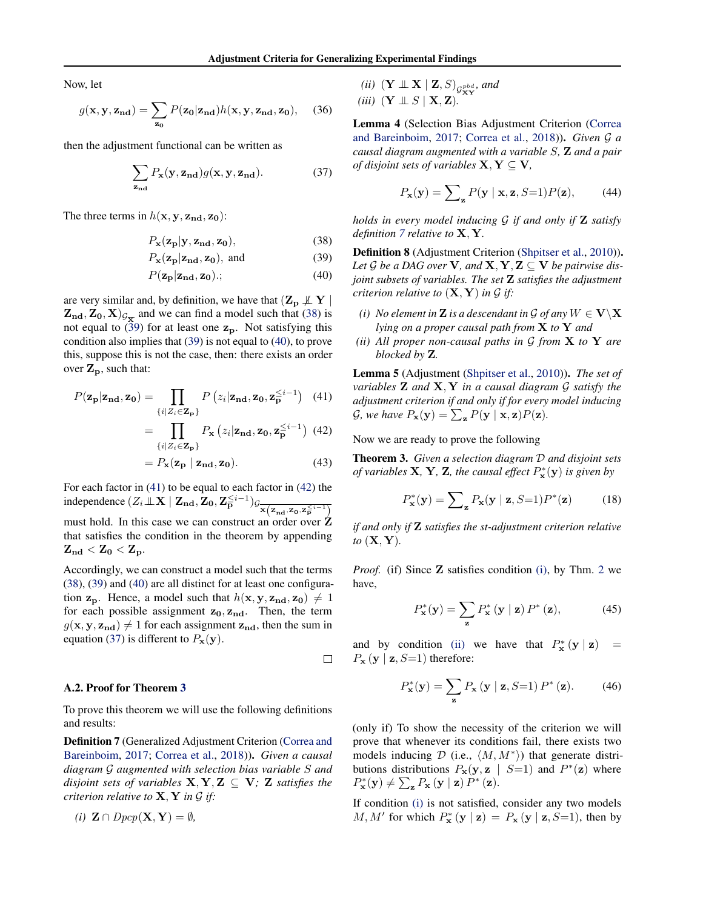<span id="page-10-0"></span>Now, let

$$
g(\mathbf{x}, \mathbf{y}, \mathbf{z}_{\mathbf{nd}}) = \sum_{\mathbf{z_0}} P(\mathbf{z_0} | \mathbf{z}_{\mathbf{nd}}) h(\mathbf{x}, \mathbf{y}, \mathbf{z}_{\mathbf{nd}}, \mathbf{z_0}), \quad (36)
$$

then the adjustment functional can be written as

$$
\sum_{\mathbf{z}_{\mathbf{nd}}} P_{\mathbf{x}}(\mathbf{y}, \mathbf{z}_{\mathbf{nd}}) g(\mathbf{x}, \mathbf{y}, \mathbf{z}_{\mathbf{nd}}). \tag{37}
$$

The three terms in  $h(\mathbf{x}, \mathbf{y}, \mathbf{z}_{nd}, \mathbf{z}_0)$ :

$$
P_{\mathbf{x}}(\mathbf{z}_{\mathbf{p}}|\mathbf{y}, \mathbf{z}_{\mathbf{nd}}, \mathbf{z}_{\mathbf{0}}),\tag{38}
$$

$$
P_{\mathbf{x}}(\mathbf{z}_{\mathbf{p}}|\mathbf{z}_{\mathbf{nd}}, \mathbf{z}_{\mathbf{0}}), \text{ and } (39)
$$

$$
P(\mathbf{z}_p|\mathbf{z}_{\mathrm{nd}}, \mathbf{z}_0); \tag{40}
$$

are very similar and, by definition, we have that  $(\mathbf{Z}_{\mathbf{p}} \not\perp \mathbf{Y})$  $(\mathbf{Z}_{\mathrm{nd}}, \mathbf{Z}_{0}, \mathbf{X})_{\mathcal{G}_{\overline{\mathbf{X}}}}$  and we can find a model such that (38) is not equal to (39) for at least one  $z_p$ . Not satisfying this condition also implies that (39) is not equal to (40), to prove this, suppose this is not the case, then: there exists an order over  $\mathbf{Z}_{\mathbf{p}}$ , such that:

$$
P(\mathbf{z}_{\mathbf{p}}|\mathbf{z}_{\mathbf{nd}}, \mathbf{z}_{\mathbf{0}}) = \prod_{\{i \mid Z_i \in \mathbf{Z}_{\mathbf{p}}\}} P(z_i|\mathbf{z}_{\mathbf{nd}}, \mathbf{z}_{\mathbf{0}}, \mathbf{z}_{\mathbf{p}}^{\leq i-1}) \quad (41)
$$

$$
= \prod_{\{i|Z_i \in \mathbf{Z_p}\}} P_{\mathbf{x}} \left( z_i | \mathbf{z}_{\mathbf{n}d}, \mathbf{z}_0, \mathbf{z}_{\mathbf{p}}^{\leq i-1} \right) (42)
$$

$$
= P_{\mathbf{x}}(\mathbf{z}_{\mathbf{p}} \mid \mathbf{z}_{\mathbf{nd}}, \mathbf{z}_{\mathbf{0}}). \tag{43}
$$

For each factor in (41) to be equal to each factor in (42) the independence  $(Z_i \perp \!\!\! \perp X \mid \mathbf{Z_{nd}}, \mathbf{Z_0}, \mathbf{Z_P}^{\leq i-1})$ g $\frac{1}{\mathbf{x}(\mathbf{z_{nd}}, \mathbf{z_0}, \mathbf{z_P}^{\leq i-1})}$ must hold. In this case we can construct an order over Z that satisfies the condition in the theorem by appending

 $\mathbf{Z_{nd}} < \mathbf{Z_0} < \mathbf{Z_p}.$ Accordingly, we can construct a model such that the terms (38), (39) and (40) are all distinct for at least one configuration  $z_p$ . Hence, a model such that  $h(x, y, z_{nd}, z_0) \neq 1$ 

for each possible assignment  $z_0$ ,  $z_{nd}$ . Then, the term  $g(\mathbf{x}, \mathbf{y}, \mathbf{z}_{nd}) \neq 1$  for each assignment  $\mathbf{z}_{nd}$ , then the sum in equation (37) is different to  $P_{\mathbf{x}}(\mathbf{y})$ .

$$
\mathcal{L}^{\mathcal{L}}_{\mathcal{L}}
$$

#### A.2. Proof for Theorem [3](#page-6-0)

To prove this theorem we will use the following definitions and results:

Definition 7 (Generalized Adjustment Criterion [\(Correa and](#page-8-0) [Bareinboim,](#page-8-0) [2017;](#page-8-0) [Correa et al.,](#page-8-0) [2018\)](#page-8-0)). *Given a causal diagram* G *augmented with selection bias variable* S *and disjoint sets of variables*  $X, Y, Z \subseteq V$ *;* Z *satisfies the criterion relative to*  $X, Y$  *in*  $G$  *if:* 

$$
(i) \ \mathbf{Z} \cap \mathit{Dpcp}(\mathbf{X}, \mathbf{Y}) = \emptyset,
$$

*(ii)*  $(\mathbf{Y} \perp \!\!\! \perp \mathbf{X} \mid \mathbf{Z}, S)_{\mathcal{G}_{\mathbf{XY}}^{pbd}}$  and *(iii)*  $(Y \perp\!\!\!\perp S \mid X, Z)$ *.* 

Lemma 4 (Selection Bias Adjustment Criterion [\(Correa](#page-8-0) [and Bareinboim,](#page-8-0) [2017;](#page-8-0) [Correa et al.,](#page-8-0) [2018\)](#page-8-0)). *Given* G *a causal diagram augmented with a variable* S*,* Z *and a pair of disjoint sets of variables*  $X, Y \subseteq V$ ,

$$
P_{\mathbf{x}}(\mathbf{y}) = \sum_{\mathbf{z}} P(\mathbf{y} \mid \mathbf{x}, \mathbf{z}, S=1) P(\mathbf{z}), \quad (44)
$$

*holds in every model inducing* G *if and only if* Z *satisfy definition 7 relative to* X, Y*.*

Definition 8 (Adjustment Criterion [\(Shpitser et al.,](#page-8-0) [2010\)](#page-8-0)). Let  $\mathcal G$  be a DAG over **V**, and **X**, **Y**, **Z**  $\subseteq$  **V** be pairwise dis*joint subsets of variables. The set* Z *satisfies the adjustment criterion relative to*  $(X, Y)$  *in G if:* 

- *(i) No element in* **Z** *is a descendant in*  $\mathcal{G}$  *of any*  $W \in \mathbf{V} \setminus \mathbf{X}$ *lying on a proper causal path from* X *to* Y *and*
- *(ii) All proper non-causal paths in* G *from* X *to* Y *are blocked by* Z*.*

Lemma 5 (Adjustment [\(Shpitser et al.,](#page-8-0) [2010\)](#page-8-0)). *The set of variables* Z *and* X, Y *in a causal diagram* G *satisfy the adjustment criterion if and only if for every model inducing*  $\mathcal{G},$  we have  $P_{\mathbf{x}}(\mathbf{y}) = \sum_{\mathbf{z}} P(\mathbf{y} \mid \mathbf{x}, \mathbf{z}) P(\mathbf{z})$ .

Now we are ready to prove the following

Theorem 3. *Given a selection diagram* D *and disjoint sets of variables* **X**, **Y**, **Z**, the causal effect  $P_{\mathbf{x}}^{*}(\mathbf{y})$  is given by

$$
P_{\mathbf{x}}^*(\mathbf{y}) = \sum_{\mathbf{z}} P_{\mathbf{x}}(\mathbf{y} \mid \mathbf{z}, S=1) P^*(\mathbf{z}) \tag{18}
$$

*if and only if* Z *satisfies the st-adjustment criterion relative to* (X, Y)*.*

*Proof.* (if) Since **Z** satisfies condition [\(i\),](#page-6-0) by Thm. [2](#page-5-0) we have,

$$
P_{\mathbf{x}}^*(\mathbf{y}) = \sum_{\mathbf{z}} P_{\mathbf{x}}^*(\mathbf{y} \mid \mathbf{z}) P^*(\mathbf{z}), \tag{45}
$$

and by condition [\(ii\)](#page-6-0) we have that  $P_{\mathbf{x}}^*(\mathbf{y} \mid \mathbf{z}) =$  $P_{\mathbf{x}} (\mathbf{y} \mid \mathbf{z}, S=1)$  therefore:

$$
P_{\mathbf{x}}^{*}(\mathbf{y}) = \sum_{\mathbf{z}} P_{\mathbf{x}} \left( \mathbf{y} \mid \mathbf{z}, S=1 \right) P^{*} \left( \mathbf{z} \right). \tag{46}
$$

(only if) To show the necessity of the criterion we will prove that whenever its conditions fail, there exists two models inducing  $D$  (i.e.,  $\langle M, M^* \rangle$ ) that generate distributions distributions  $P_x(y, z \mid S=1)$  and  $P^*(z)$  where  $P_{\mathbf{x}}^{*}(\mathbf{y}) \neq \sum_{\mathbf{z}} P_{\mathbf{x}} (\mathbf{y} | \mathbf{z}) P^{*} (\mathbf{z}).$ 

If condition [\(i\)](#page-6-0) is not satisfied, consider any two models  $M, M'$  for which  $P^*_{\mathbf{x}}(\mathbf{y} \mid \mathbf{z}) = P_{\mathbf{x}}(\mathbf{y} \mid \mathbf{z}, S=1)$ , then by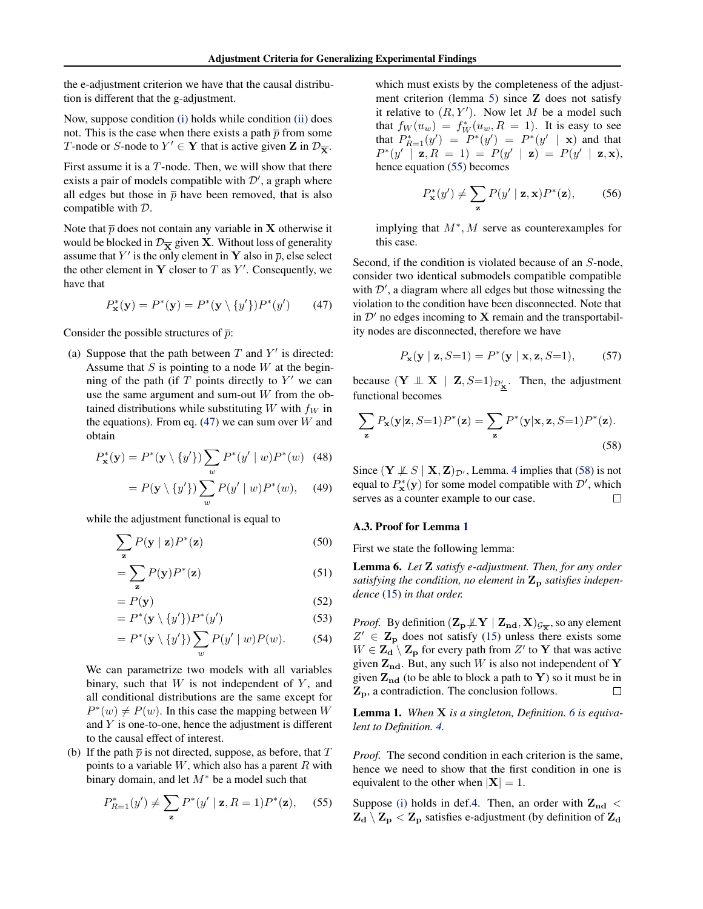<span id="page-11-0"></span>the e-adjustment criterion we have that the causal distribution is different that the g-adjustment.

Now, suppose condition [\(i\)](#page-6-0) holds while condition [\(ii\)](#page-6-0) does not. This is the case when there exists a path  $\bar{p}$  from some T-node or S-node to  $Y' \in Y$  that is active given **Z** in  $\mathcal{D}_{\overline{X}}$ .

First assume it is a  $T$ -node. Then, we will show that there exists a pair of models compatible with  $\mathcal{D}'$ , a graph where all edges but those in  $\bar{p}$  have been removed, that is also compatible with D.

Note that  $\bar{p}$  does not contain any variable in **X** otherwise it would be blocked in  $\mathcal{D}_{\overline{X}}$  given **X**. Without loss of generality assume that Y' is the only element in Y also in  $\bar{p}$ , else select the other element in Y closer to T as  $Y'$ . Consequently, we have that

$$
P_{\mathbf{x}}^*(\mathbf{y}) = P^*(\mathbf{y}) = P^*(\mathbf{y} \setminus \{y'\})P^*(y')
$$
 (47)

Consider the possible structures of  $\bar{p}$ :

(a) Suppose that the path between  $T$  and  $Y'$  is directed: Assume that  $S$  is pointing to a node  $W$  at the beginning of the path (if  $T$  points directly to  $Y'$  we can use the same argument and sum-out  $W$  from the obtained distributions while substituting  $W$  with  $f_W$  in the equations). From eq.  $(47)$  we can sum over W and obtain

$$
P_{\mathbf{x}}^*(\mathbf{y}) = P^*(\mathbf{y} \setminus \{y'\}) \sum_{w} P^*(y' \mid w) P^*(w) \quad (48)
$$

$$
= P(\mathbf{y} \setminus \{y'\}) \sum_{w} P(y' \mid w) P^*(w), \quad (49)
$$

while the adjustment functional is equal to

$$
\sum_{\mathbf{z}} P(\mathbf{y} \mid \mathbf{z}) P^*(\mathbf{z}) \tag{50}
$$

$$
=\sum_{\mathbf{z}} P(\mathbf{y}) P^*(\mathbf{z})
$$
 (51)

$$
= P(\mathbf{y})
$$
\n
$$
= P^*(\mathbf{y}) \quad (52)
$$
\n
$$
= P^*(\mathbf{y}) \quad P^*(\mathbf{y'}) \quad (53)
$$

$$
= P^*(\mathbf{y} \setminus \{y'\}) P^*(y')
$$
(53)  

$$
= P^*(\mathbf{y} \setminus \{y'\}) \sum P(y' \mid w) P(w).
$$
(54)

$$
= P^*(\mathbf{y} \setminus \{y'\}) \sum_{w} P(y' \mid w) P(w). \tag{54}
$$

We can parametrize two models with all variables binary, such that  $W$  is not independent of  $Y$ , and all conditional distributions are the same except for  $P^*(w) \neq P(w)$ . In this case the mapping between W and  $Y$  is one-to-one, hence the adjustment is different to the causal effect of interest.

(b) If the path  $\bar{p}$  is not directed, suppose, as before, that T points to a variable  $W$ , which also has a parent  $R$  with binary domain, and let  $M^*$  be a model such that

$$
P_{R=1}^{*}(y') \neq \sum_{\mathbf{z}} P^{*}(y' \mid \mathbf{z}, R=1) P^{*}(\mathbf{z}), \quad (55)
$$

which must exists by the completeness of the adjustment criterion (lemma [5\)](#page-10-0) since Z does not satisfy it relative to  $(R, Y')$ . Now let M be a model such that  $f_W(u_w) = f_W^*(u_w, R = 1)$ . It is easy to see that  $P_{R=1}^*(y') = P^*(y') = P^*(y' | \mathbf{x})$  and that  $P^*(y' | \mathbf{z}, R = 1) = P(y' | \mathbf{z}) = P(y' | \mathbf{z}, \mathbf{x}),$ hence equation (55) becomes

$$
P_{\mathbf{x}}^*(y') \neq \sum_{\mathbf{z}} P(y' \mid \mathbf{z}, \mathbf{x}) P^*(\mathbf{z}), \quad (56)
$$

implying that  $M^*$ , M serve as counterexamples for this case.

Second, if the condition is violated because of an S-node, consider two identical submodels compatible compatible with  $\mathcal{D}'$ , a diagram where all edges but those witnessing the violation to the condition have been disconnected. Note that in  $\mathcal{D}'$  no edges incoming to X remain and the transportability nodes are disconnected, therefore we have

$$
P_{\mathbf{x}}(\mathbf{y} \mid \mathbf{z}, S=1) = P^*(\mathbf{y} \mid \mathbf{x}, \mathbf{z}, S=1), \quad (57)
$$

because  $(Y \perp\!\!\!\perp X \mid \mathbf{Z}, S=1)_{\mathcal{D}'_{\mathbf{X}}}$ . Then, the adjustment functional becomes

$$
\sum_{\mathbf{z}} P_{\mathbf{x}}(\mathbf{y}|\mathbf{z}, S=1) P^*(\mathbf{z}) = \sum_{\mathbf{z}} P^*(\mathbf{y}|\mathbf{x}, \mathbf{z}, S=1) P^*(\mathbf{z}).
$$
\n(58)

Since  $(Y \not\perp S | X, Z)_{\mathcal{D}}$ , Lemma. [4](#page-10-0) implies that (58) is not equal to  $P_{\mathbf{x}}^{*}(\mathbf{y})$  for some model compatible with  $\mathcal{D}'$ , which serves as a counter example to our case.  $\Box$ 

#### A.3. Proof for Lemma [1](#page-6-0)

First we state the following lemma:

Lemma 6. *Let* Z *satisfy e-adjustment. Then, for any order satisfying the condition, no element in*  $\mathbf{Z}_p$  *satisfies independence* [\(15\)](#page-5-0) *in that order.*

*Proof.* By definition  $(\mathbf{Z}_{\mathbf{p}} \not\perp \mathbf{Y} \mid \mathbf{Z}_{\mathbf{nd}}, \mathbf{X})_{\mathcal{G}_{\overline{\mathbf{X}}}}$ , so any element  $Z' \in \mathbf{Z}_p$  does not satisfy [\(15\)](#page-5-0) unless there exists some  $W \in \mathbf{Z}_{\mathbf{d}} \setminus \mathbf{Z}_{\mathbf{p}}$  for every path from  $Z'$  to Y that was active given  $\mathbf{Z}_{nd}$ . But, any such W is also not independent of Y given  $Z_{nd}$  (to be able to block a path to Y) so it must be in  $\mathbf{Z_p}$ , a contradiction. The conclusion follows.  $\Box$ 

Lemma 1. *When* X *is a singleton, Definition. [6](#page-6-0) is equivalent to Definition. [4.](#page-4-0)*

*Proof.* The second condition in each criterion is the same, hence we need to show that the first condition in one is equivalent to the other when  $|\mathbf{X}| = 1$ .

Suppose [\(i\)](#page-4-0) holds in def[.4.](#page-4-0) Then, an order with  $Z_{nd}$  <  $\mathbf{Z_d} \setminus \mathbf{Z_p} < \mathbf{Z_p}$  satisfies e-adjustment (by definition of  $\mathbf{Z_d}$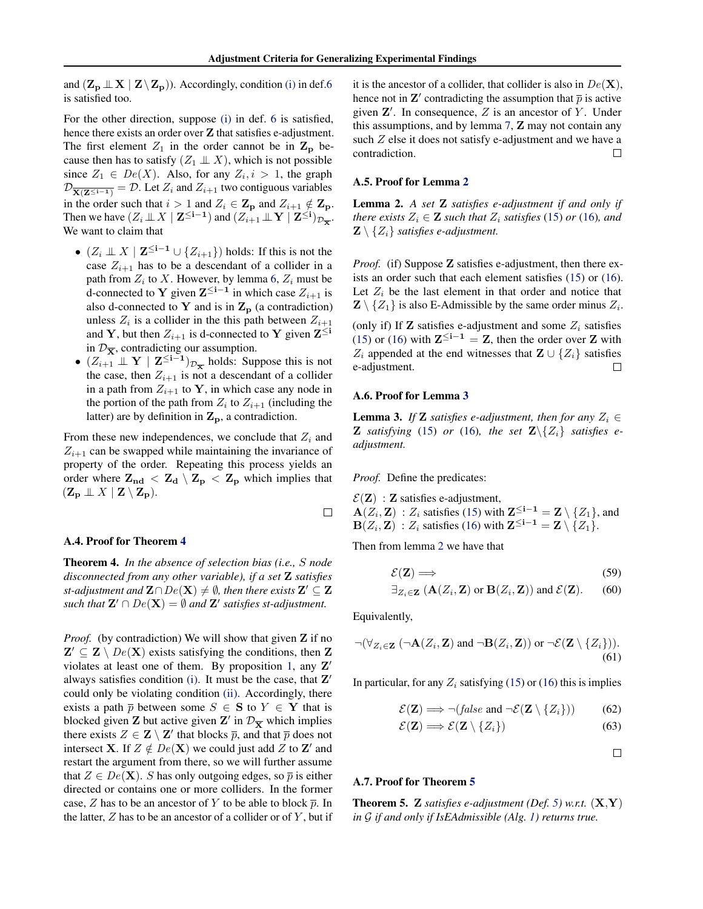and  $(\mathbf{Z}_{\mathbf{p}} \perp \mathbf{X} \mid \mathbf{Z} \setminus \mathbf{Z}_{\mathbf{p}})$ ). Accordingly, condition [\(i\)](#page-6-0) in def[.6](#page-6-0) is satisfied too.

For the other direction, suppose [\(i\)](#page-6-0) in def. [6](#page-6-0) is satisfied, hence there exists an order over  $Z$  that satisfies e-adjustment. The first element  $Z_1$  in the order cannot be in  $\mathbf{Z_p}$  because then has to satisfy  $(Z_1 \perp\!\!\!\perp X)$ , which is not possible since  $Z_1 \in De(X)$ . Also, for any  $Z_i, i > 1$ , the graph  $\mathcal{D}_{\overline{X(\mathbf{Z}^{\leq i-1})}} = \mathcal{D}$ . Let  $Z_i$  and  $Z_{i+1}$  two contiguous variables in the order such that  $i > 1$  and  $Z_i \in \mathbf{Z}_p$  and  $Z_{i+1} \notin \mathbf{Z}_p$ . Then we have  $(Z_i \perp\!\!\!\perp X \mid \mathbf{Z}^{\leq \mathbf{i}-\mathbf{1}})$  and  $(Z_{i+1} \perp\!\!\!\perp \mathbf{Y} \mid \mathbf{Z}^{\leq \mathbf{i}})_{\mathcal{D}_{\overline{\mathbf{X}}}}$ . We want to claim that

- $(Z_i \perp \!\!\! \perp X \mid \mathbf{Z}^{\leq i-1} \cup \{Z_{i+1}\})$  holds: If this is not the case  $Z_{i+1}$  has to be a descendant of a collider in a path from  $Z_i$  to X. However, by lemma [6,](#page-11-0)  $Z_i$  must be d-connected to **Y** given  $\mathbf{Z}^{\leq i-1}$  in which case  $Z_{i+1}$  is also d-connected to Y and is in  $\mathbf{Z}_{\mathbf{p}}$  (a contradiction) unless  $Z_i$  is a collider in the this path between  $Z_{i+1}$ and Y, but then  $Z_{i+1}$  is d-connected to Y given  $\mathbf{Z}^{\leq i}$ in  $\mathcal{D}_{\overline{\mathbf{x}}}$ , contradicting our assumption.
- $(Z_{i+1} \perp \!\!\! \perp Y \mid \mathbf{Z}^{\leq i-1})_{\mathcal{D}_{\overline{\mathbf{X}}}}$  holds: Suppose this is not the case, then  $Z_{i+1}$  is not a descendant of a collider in a path from  $Z_{i+1}$  to Y, in which case any node in the portion of the path from  $Z_i$  to  $Z_{i+1}$  (including the latter) are by definition in  $Z_p$ , a contradiction.

From these new independences, we conclude that  $Z_i$  and  $Z_{i+1}$  can be swapped while maintaining the invariance of property of the order. Repeating this process yields an order where  $Z_{nd} < Z_d \setminus Z_p < Z_p$  which implies that  $(\mathbf{Z}_{\mathbf{p}} \perp \!\!\! \perp X \mid \mathbf{Z} \setminus \mathbf{Z}_{\mathbf{p}}).$ 

# $\Box$

#### A.4. Proof for Theorem [4](#page-6-0)

Theorem 4. *In the absence of selection bias (i.e.,* S *node disconnected from any other variable), if a set* Z *satisfies* st-adjustment and  $\mathbf{Z} \cap De(\mathbf{X}) \neq \emptyset$ , then there exists  $\mathbf{Z}' \subseteq \mathbf{Z}$ such that  $\mathbf{Z}' \cap De(\mathbf{X}) = \emptyset$  and  $\mathbf{Z}'$  satisfies st-adjustment.

*Proof.* (by contradiction) We will show that given **Z** if no  $\mathbf{Z}' \subseteq \mathbf{Z} \setminus De(\mathbf{X})$  exists satisfying the conditions, then  $\mathbf{Z}$ violates at least one of them. By proposition [1,](#page-6-0) any  $\mathbf{Z}'$ always satisfies condition [\(i\).](#page-6-0) It must be the case, that  $\mathbf{Z}'$ could only be violating condition [\(ii\).](#page-6-0) Accordingly, there exists a path  $\bar{p}$  between some  $S \in \mathbf{S}$  to  $Y \in \mathbf{Y}$  that is blocked given **Z** but active given **Z**' in  $\mathcal{D}_{\overline{X}}$  which implies there exists  $Z \in \mathbf{Z} \setminus \mathbf{Z}'$  that blocks  $\overline{p}$ , and that  $\overline{p}$  does not intersect **X**. If  $Z \notin De(X)$  we could just add Z to **Z'** and restart the argument from there, so we will further assume that  $Z \in De(X)$ . S has only outgoing edges, so  $\overline{p}$  is either directed or contains one or more colliders. In the former case, Z has to be an ancestor of Y to be able to block  $\bar{p}$ . In the latter,  $Z$  has to be an ancestor of a collider or of  $Y$ , but if it is the ancestor of a collider, that collider is also in  $De(X)$ , hence not in  $\mathbf{Z}'$  contradicting the assumption that  $\bar{p}$  is active given  $\mathbf{Z}'$ . In consequence,  $Z$  is an ancestor of  $Y$ . Under this assumptions, and by lemma [7,](#page-13-0) Z may not contain any such Z else it does not satisfy e-adjustment and we have a contradiction.  $\Box$ 

#### A.5. Proof for Lemma [2](#page-6-0)

Lemma 2. *A set* Z *satisfies e-adjustment if and only if there exists*  $Z_i \in \mathbf{Z}$  *such that*  $Z_i$  *satisfies* [\(15\)](#page-5-0) *or* [\(16\)](#page-5-0)*, and*  $\mathbf{Z} \setminus \{Z_i\}$  *satisfies e-adjustment.* 

*Proof.* (if) Suppose **Z** satisfies e-adjustment, then there exists an order such that each element satisfies [\(15\)](#page-5-0) or [\(16\)](#page-5-0). Let  $Z_i$  be the last element in that order and notice that  $\mathbf{Z} \setminus \{Z_1\}$  is also E-Admissible by the same order minus  $Z_i$ .

(only if) If  $\mathbf Z$  satisfies e-adjustment and some  $Z_i$  satisfies [\(15\)](#page-5-0) or [\(16\)](#page-5-0) with  $\mathbf{Z}^{\leq i-1} = \mathbf{Z}$ , then the order over  $\mathbf{Z}$  with  $Z_i$  appended at the end witnesses that  $\mathbf{Z} \cup \{Z_i\}$  satisfies e-adjustment.  $\Box$ 

#### A.6. Proof for Lemma [3](#page-6-0)

**Lemma 3.** *If* **Z** *satisfies e-adjustment, then for any*  $Z_i \in$ **Z** *satisfying* [\(15\)](#page-5-0) *or* [\(16\)](#page-5-0)*, the set*  $\mathbf{Z}\setminus\{Z_i\}$  *satisfies eadjustment.*

*Proof.* Define the predicates:

 $\mathcal{E}(\mathbf{Z})$ : **Z** satisfies e-adjustment,

 $\mathbf{A}(Z_i, \mathbf{Z}) : Z_i$  satisfies [\(15\)](#page-5-0) with  $\mathbf{Z}^{\leq i-1} = \mathbf{Z} \setminus \{Z_1\}$ , and  $\mathbf{B}(Z_i, \mathbf{Z}) : Z_i$  satisfies [\(16\)](#page-5-0) with  $\mathbf{Z}^{\leq i-1} = \mathbf{Z} \setminus \{Z_1\}.$ 

Then from lemma [2](#page-6-0) we have that

$$
\mathcal{E}(\mathbf{Z}) \Longrightarrow \tag{59}
$$

$$
\exists_{Z_i \in \mathbf{Z}} (\mathbf{A}(Z_i, \mathbf{Z}) \text{ or } \mathbf{B}(Z_i, \mathbf{Z})) \text{ and } \mathcal{E}(\mathbf{Z}). \qquad (60)
$$

Equivalently,

$$
\neg(\forall_{Z_i \in \mathbf{Z}} (\neg \mathbf{A}(Z_i, \mathbf{Z}) \text{ and } \neg \mathbf{B}(Z_i, \mathbf{Z})) \text{ or } \neg \mathcal{E}(\mathbf{Z} \setminus \{Z_i\})).
$$
\n(61)

In particular, for any  $Z_i$  satisfying [\(15\)](#page-5-0) or [\(16\)](#page-5-0) this is implies

$$
\mathcal{E}(\mathbf{Z}) \Longrightarrow \neg(\text{false and } \neg \mathcal{E}(\mathbf{Z} \setminus \{Z_i\})) \tag{62}
$$

$$
\mathcal{E}(\mathbf{Z}) \Longrightarrow \mathcal{E}(\mathbf{Z} \setminus \{Z_i\})
$$
\n(63)

 $\Box$ 

#### A.7. Proof for Theorem [5](#page-7-0)

**Theorem 5. Z** *satisfies e-adjustment* (*Def. 5*) *w.r.t.*  $(X, Y)$ *in* G *if and only if IsEAdmissible (Alg. [1\)](#page-6-0) returns true.*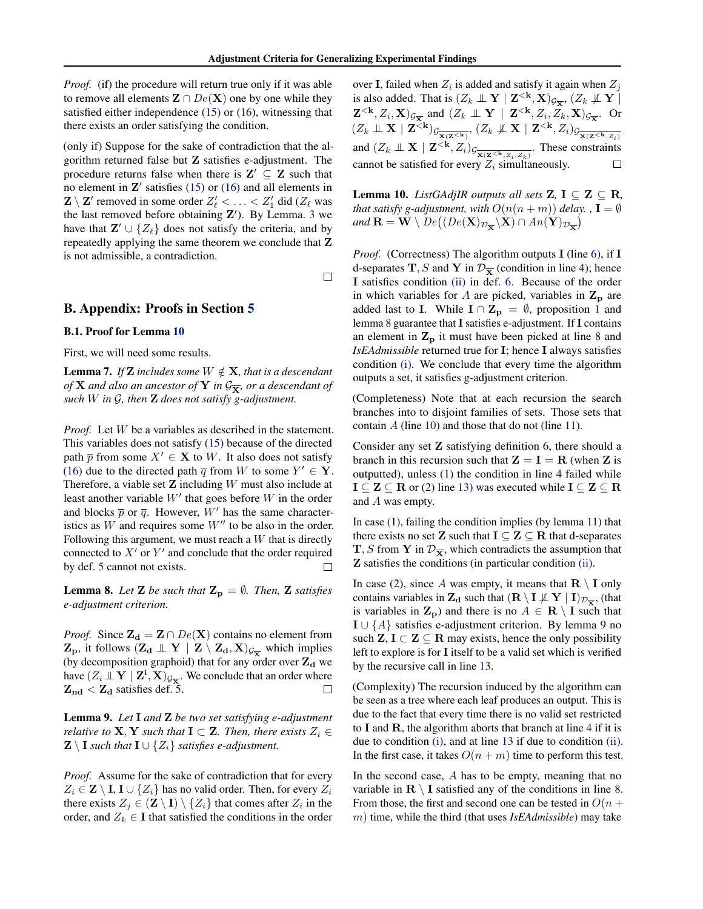<span id="page-13-0"></span>*Proof.* (if) the procedure will return true only if it was able to remove all elements  $\mathbf{Z} \cap De(\mathbf{X})$  one by one while they satisfied either independence [\(15\)](#page-5-0) or [\(16\)](#page-5-0), witnessing that there exists an order satisfying the condition.

(only if) Suppose for the sake of contradiction that the algorithm returned false but Z satisfies e-adjustment. The procedure returns false when there is  $\mathbf{Z}' \subseteq \mathbf{Z}$  such that no element in  $\mathbf{Z}'$  satisfies [\(15\)](#page-5-0) or [\(16\)](#page-5-0) and all elements in  $\mathbf{Z} \setminus \mathbf{Z}'$  removed in some order  $Z'_\ell < \ldots < Z'_1$  did ( $Z_\ell$  was the last removed before obtaining  $Z'$ ). By Lemma. [3](#page-6-0) we have that  $\mathbf{Z}' \cup \{Z_{\ell}\}\$  does not satisfy the criteria, and by repeatedly applying the same theorem we conclude that Z is not admissible, a contradiction.

 $\Box$ 

# B. Appendix: Proofs in Section [5](#page-7-0)

#### B.1. Proof for Lemma 10

First, we will need some results.

**Lemma 7.** *If* **Z** *includes some*  $W \notin \mathbf{X}$ *, that is a descendant of* **X** *and also an ancestor of* **Y** *in*  $\mathcal{G}_{\overline{\mathbf{X}}}$ *, or a descendant of such* W *in* G*, then* Z *does not satisfy g-adjustment.*

*Proof.* Let W be a variables as described in the statement. This variables does not satisfy [\(15\)](#page-5-0) because of the directed path  $\overline{p}$  from some  $X' \in \mathbf{X}$  to W. It also does not satisfy [\(16\)](#page-5-0) due to the directed path  $\overline{q}$  from W to some  $Y' \in \mathbf{Y}$ . Therefore, a viable set  $\mathbf Z$  including  $W$  must also include at least another variable  $W'$  that goes before  $W$  in the order and blocks  $\bar{p}$  or  $\bar{q}$ . However, W' has the same characteristics as  $W$  and requires some  $W''$  to be also in the order. Following this argument, we must reach a  $W$  that is directly connected to  $X'$  or  $Y'$  and conclude that the order required by def. [5](#page-5-0) cannot not exists.  $\Box$ 

**Lemma 8.** Let **Z** be such that  $\mathbf{Z}_p = \emptyset$ . Then, **Z** satisfies *e-adjustment criterion.*

*Proof.* Since  $\mathbf{Z_d} = \mathbf{Z} \cap De(\mathbf{X})$  contains no element from  $\mathbf{Z}_{\mathbf{p}}$ , it follows  $(\mathbf{Z}_{\mathbf{d}} \perp \!\!\! \perp \mathbf{Y} \mid \mathbf{Z} \setminus \mathbf{Z}_{\mathbf{d}}, \mathbf{X})_{\mathcal{G}_{\overline{\mathbf{X}}}}$  which implies (by decomposition graphoid) that for any order over  $Z_d$  we have  $(Z_i \perp\!\!\!\perp \mathbf{Y} \mid \mathbf{Z^i}, \mathbf{X})_{\mathcal{G}_{\overline{\mathbf{X}}}}$ . We conclude that an order where  $Z_{nd}$  <  $Z_d$  satisfies def. [5.](#page-5-0)  $\Box$ 

Lemma 9. *Let* I *and* Z *be two set satisfying e-adjustment relative to* **X**, **Y** *such that*  $I \subset Z$ *. Then, there exists*  $Z_i \in$ **Z** \ **I** *such that* **I**  $\cup$  { $Z_i$ } *satisfies e-adjustment.* 

*Proof.* Assume for the sake of contradiction that for every  $Z_i \in \mathbf{Z} \setminus \mathbf{I}, \mathbf{I} \cup \{Z_i\}$  has no valid order. Then, for every  $Z_i$ there exists  $Z_j \in (\mathbf{Z} \setminus \mathbf{I}) \setminus \{Z_i\}$  that comes after  $Z_i$  in the order, and  $Z_k \in I$  that satisfied the conditions in the order

over **I**, failed when  $Z_i$  is added and satisfy it again when  $Z_j$ is also added. That is  $(Z_k \perp \!\!\! \perp Y \mid \mathbf{Z}^{<\mathbf{k}}, \mathbf{X})_{\mathcal{G}_{\overline{\mathbf{X}}}}, (Z_k \not\!\! \perp \!\!\! \perp Y \mid$  $(\mathbf{Z}^{< \mathbf{k}}, Z_i, \mathbf{X})_{\mathcal{G}_{\overline{\mathbf{X}}}}$  and  $(Z_k \perp \!\!\! \perp \mathbf{Y} \mid \mathbf{Z}^{< \mathbf{k}}, Z_i, Z_k, \mathbf{X})_{\mathcal{G}_{\overline{\mathbf{X}}}}$ . Or  $(Z_k \perp \!\!\!\! \perp \mathbf{X} \mid \mathbf{Z}^{<\mathbf{k}})$ g<sub>x(Z</sub><k<sub>)</sub>, (Z<sub>k</sub>  $\not\!\!\! \perp \mathbf{X} \mid \mathbf{Z}^{<\mathbf{k}}, Z_i$ )g<sub>x(Z</sub><k<sub>,Z<sub>i</sub>)</sub> and  $(Z_k \perp \!\!\! \perp X \mid \mathbf{Z}^{< \mathbf{k}}, Z_i)_{\mathcal{G}_{\overline{\mathbf{X}(\mathbf{Z}^{< \mathbf{k}}, Z_i, Z_k)}}}.$  These constraints cannot be satisfied for every  $Z_i$  simultaneously.  $\Box$ 

**Lemma 10.** *ListGAdjIR outputs all sets*  $Z$ ,  $I \subseteq Z \subseteq R$ , *that satisfy g-adjustment, with*  $O(n(n+m))$  *delay.* ,  $\mathbf{I} = \emptyset$ and  $\mathbf{R} = \mathbf{W} \setminus De((De(\mathbf{X})_{\mathcal{D}_{\overline{\mathbf{X}}}} \setminus \mathbf{X}) \cap An(\mathbf{Y})_{\mathcal{D}_{\overline{\mathbf{X}}}})$ 

*Proof.* (Correctness) The algorithm outputs **I** (line [6\)](#page-7-0), if **I** d-separates T, S and Y in  $\mathcal{D}_{\overline{\mathbf{x}}}$  (condition in line [4\)](#page-7-0); hence I satisfies condition [\(ii\)](#page-6-0) in def. [6.](#page-6-0) Because of the order in which variables for A are picked, variables in  $\mathbf{Z}_p$  are added last to I. While  $I \cap Z_p = \emptyset$ , proposition [1](#page-6-0) and lemma 8 guarantee that I satisfies e-adjustment. If I contains an element in  $\mathbf{Z}_{\mathbf{p}}$  it must have been picked at line [8](#page-7-0) and *IsEAdmissible* returned true for I; hence I always satisfies condition [\(i\).](#page-6-0) We conclude that every time the algorithm outputs a set, it satisfies g-adjustment criterion.

(Completeness) Note that at each recursion the search branches into to disjoint families of sets. Those sets that contain  $A$  (line [10\)](#page-7-0) and those that do not (line [11\)](#page-7-0).

Consider any set Z satisfying definition [6,](#page-6-0) there should a branch in this recursion such that  $Z = I = R$  (when Z is outputted), unless (1) the condition in line [4](#page-7-0) failed while  $I \subseteq Z \subseteq R$  or (2) line [13\)](#page-7-0) was executed while  $I \subseteq Z \subseteq R$ and A was empty.

In case (1), failing the condition implies (by lemma [11\)](#page-14-0) that there exists no set **Z** such that  $I \subseteq Z \subseteq R$  that d-separates  $\mathbf{T}, S$  from Y in  $\mathcal{D}_{\overline{\mathbf{X}}}$ , which contradicts the assumption that Z satisfies the conditions (in particular condition [\(ii\).](#page-6-0)

In case (2), since A was empty, it means that  $\mathbf{R} \setminus \mathbf{I}$  only contains variables in  $\mathbf{Z_d}$  such that  $(\mathbf{R} \setminus \mathbf{I} \not\perp \mathbf{Y} \mid \mathbf{I})_{\mathcal{D}_{\overline{\mathbf{X}}}}$ , (that is variables in  $\mathbf{Z}_{\mathbf{p}}$ ) and there is no  $A \in \mathbf{R} \setminus \mathbf{I}$  such that I ∪ {A} satisfies e-adjustment criterion. By lemma 9 no such  $Z, I \subset Z \subseteq R$  may exists, hence the only possibility left to explore is for I itself to be a valid set which is verified by the recursive call in line [13.](#page-7-0)

(Complexity) The recursion induced by the algorithm can be seen as a tree where each leaf produces an output. This is due to the fact that every time there is no valid set restricted to  $I$  and  $R$ , the algorithm aborts that branch at line [4](#page-7-0) if it is due to condition [\(i\),](#page-6-0) and at line [13](#page-7-0) if due to condition [\(ii\).](#page-6-0) In the first case, it takes  $O(n + m)$  time to perform this test.

In the second case,  $A$  has to be empty, meaning that no variable in  $\mathbf{R} \setminus \mathbf{I}$  satisfied any of the conditions in line [8.](#page-7-0) From those, the first and second one can be tested in  $O(n +$ m) time, while the third (that uses *IsEAdmissible*) may take